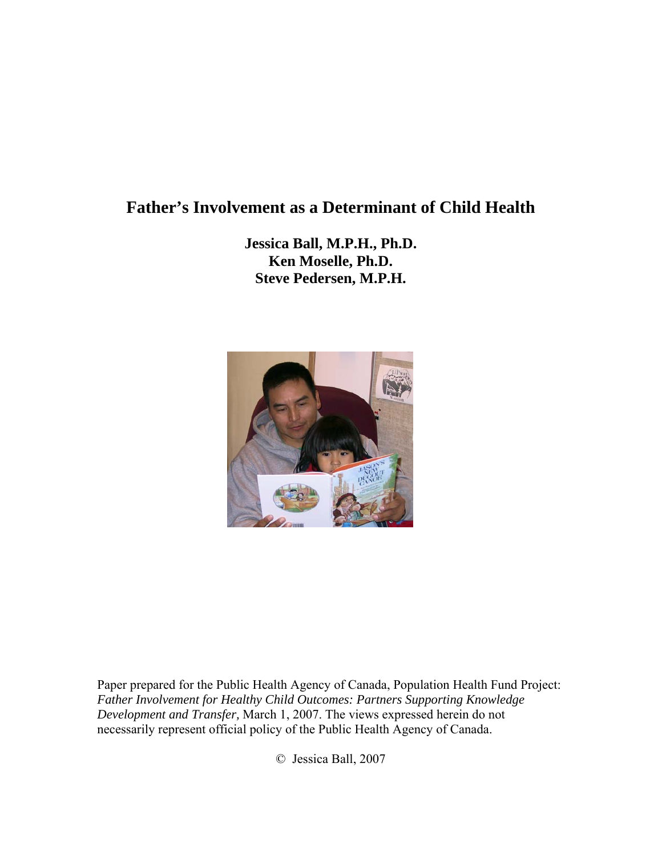# **Father's Involvement as a Determinant of Child Health**

**Jessica Ball, M.P.H., Ph.D. Ken Moselle, Ph.D. Steve Pedersen, M.P.H.** 



Paper prepared for the Public Health Agency of Canada, Population Health Fund Project: *Father Involvement for Healthy Child Outcomes: Partners Supporting Knowledge Development and Transfer,* March 1, 2007. The views expressed herein do not necessarily represent official policy of the Public Health Agency of Canada.

© Jessica Ball, 2007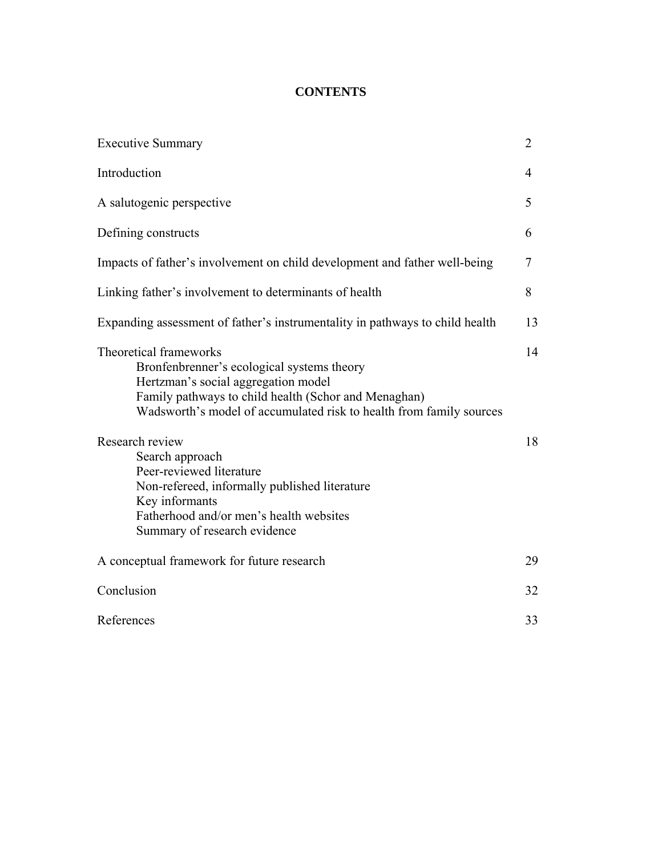# **CONTENTS**

| <b>Executive Summary</b>                                                                                                                                                                                                                   | $\overline{2}$ |
|--------------------------------------------------------------------------------------------------------------------------------------------------------------------------------------------------------------------------------------------|----------------|
| Introduction                                                                                                                                                                                                                               | 4              |
| A salutogenic perspective                                                                                                                                                                                                                  | 5              |
| Defining constructs                                                                                                                                                                                                                        | 6              |
| Impacts of father's involvement on child development and father well-being                                                                                                                                                                 | 7              |
| Linking father's involvement to determinants of health                                                                                                                                                                                     | 8              |
| Expanding assessment of father's instrumentality in pathways to child health                                                                                                                                                               | 13             |
| Theoretical frameworks<br>Bronfenbrenner's ecological systems theory<br>Hertzman's social aggregation model<br>Family pathways to child health (Schor and Menaghan)<br>Wadsworth's model of accumulated risk to health from family sources | 14             |
| Research review<br>Search approach<br>Peer-reviewed literature<br>Non-refereed, informally published literature<br>Key informants<br>Fatherhood and/or men's health websites<br>Summary of research evidence                               | 18             |
| A conceptual framework for future research                                                                                                                                                                                                 | 29             |
| Conclusion                                                                                                                                                                                                                                 | 32             |
| References                                                                                                                                                                                                                                 | 33             |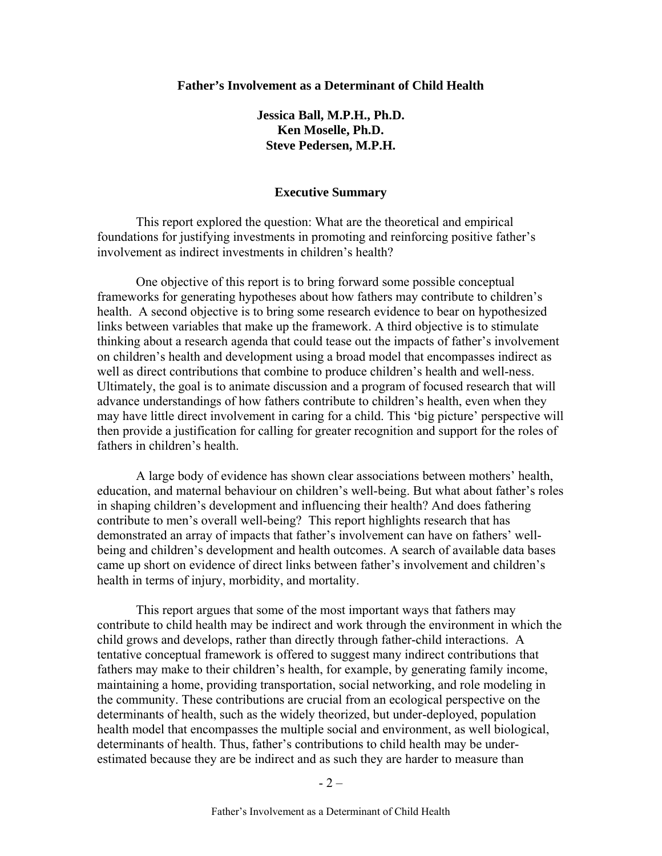#### **Father's Involvement as a Determinant of Child Health**

**Jessica Ball, M.P.H., Ph.D. Ken Moselle, Ph.D. Steve Pedersen, M.P.H.** 

#### **Executive Summary**

This report explored the question: What are the theoretical and empirical foundations for justifying investments in promoting and reinforcing positive father's involvement as indirect investments in children's health?

One objective of this report is to bring forward some possible conceptual frameworks for generating hypotheses about how fathers may contribute to children's health. A second objective is to bring some research evidence to bear on hypothesized links between variables that make up the framework. A third objective is to stimulate thinking about a research agenda that could tease out the impacts of father's involvement on children's health and development using a broad model that encompasses indirect as well as direct contributions that combine to produce children's health and well-ness. Ultimately, the goal is to animate discussion and a program of focused research that will advance understandings of how fathers contribute to children's health, even when they may have little direct involvement in caring for a child. This 'big picture' perspective will then provide a justification for calling for greater recognition and support for the roles of fathers in children's health.

A large body of evidence has shown clear associations between mothers' health, education, and maternal behaviour on children's well-being. But what about father's roles in shaping children's development and influencing their health? And does fathering contribute to men's overall well-being? This report highlights research that has demonstrated an array of impacts that father's involvement can have on fathers' wellbeing and children's development and health outcomes. A search of available data bases came up short on evidence of direct links between father's involvement and children's health in terms of injury, morbidity, and mortality.

This report argues that some of the most important ways that fathers may contribute to child health may be indirect and work through the environment in which the child grows and develops, rather than directly through father-child interactions. A tentative conceptual framework is offered to suggest many indirect contributions that fathers may make to their children's health, for example, by generating family income, maintaining a home, providing transportation, social networking, and role modeling in the community. These contributions are crucial from an ecological perspective on the determinants of health, such as the widely theorized, but under-deployed, population health model that encompasses the multiple social and environment, as well biological, determinants of health. Thus, father's contributions to child health may be underestimated because they are be indirect and as such they are harder to measure than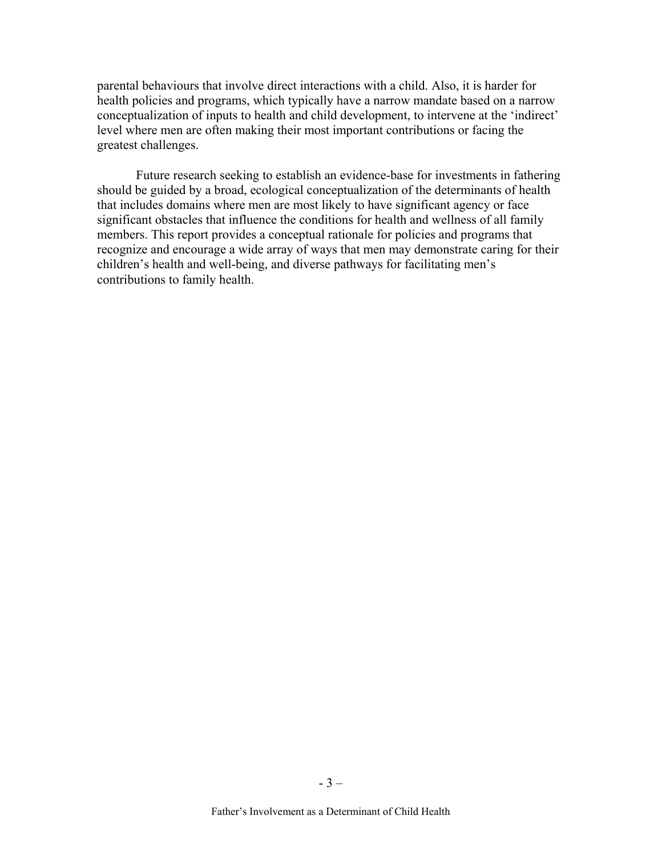parental behaviours that involve direct interactions with a child. Also, it is harder for health policies and programs, which typically have a narrow mandate based on a narrow conceptualization of inputs to health and child development, to intervene at the 'indirect' level where men are often making their most important contributions or facing the greatest challenges.

Future research seeking to establish an evidence-base for investments in fathering should be guided by a broad, ecological conceptualization of the determinants of health that includes domains where men are most likely to have significant agency or face significant obstacles that influence the conditions for health and wellness of all family members. This report provides a conceptual rationale for policies and programs that recognize and encourage a wide array of ways that men may demonstrate caring for their children's health and well-being, and diverse pathways for facilitating men's contributions to family health.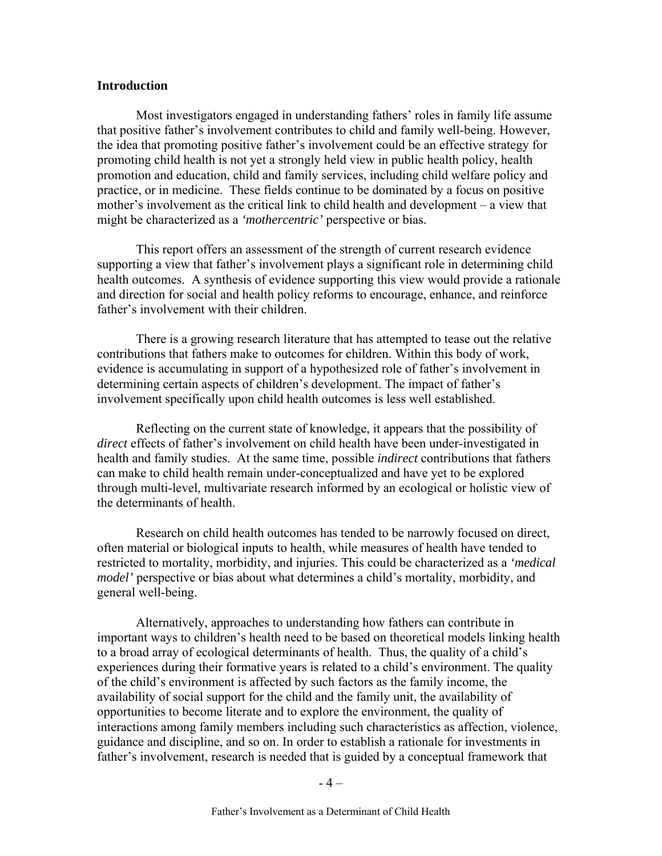#### **Introduction**

Most investigators engaged in understanding fathers' roles in family life assume that positive father's involvement contributes to child and family well-being. However, the idea that promoting positive father's involvement could be an effective strategy for promoting child health is not yet a strongly held view in public health policy, health promotion and education, child and family services, including child welfare policy and practice, or in medicine. These fields continue to be dominated by a focus on positive mother's involvement as the critical link to child health and development – a view that might be characterized as a *'mothercentric'* perspective or bias.

This report offers an assessment of the strength of current research evidence supporting a view that father's involvement plays a significant role in determining child health outcomes. A synthesis of evidence supporting this view would provide a rationale and direction for social and health policy reforms to encourage, enhance, and reinforce father's involvement with their children.

There is a growing research literature that has attempted to tease out the relative contributions that fathers make to outcomes for children. Within this body of work, evidence is accumulating in support of a hypothesized role of father's involvement in determining certain aspects of children's development. The impact of father's involvement specifically upon child health outcomes is less well established.

Reflecting on the current state of knowledge, it appears that the possibility of *direct* effects of father's involvement on child health have been under-investigated in health and family studies. At the same time, possible *indirect* contributions that fathers can make to child health remain under-conceptualized and have yet to be explored through multi-level, multivariate research informed by an ecological or holistic view of the determinants of health.

Research on child health outcomes has tended to be narrowly focused on direct, often material or biological inputs to health, while measures of health have tended to restricted to mortality, morbidity, and injuries. This could be characterized as a *'medical model'* perspective or bias about what determines a child's mortality, morbidity, and general well-being.

Alternatively, approaches to understanding how fathers can contribute in important ways to children's health need to be based on theoretical models linking health to a broad array of ecological determinants of health. Thus, the quality of a child's experiences during their formative years is related to a child's environment. The quality of the child's environment is affected by such factors as the family income, the availability of social support for the child and the family unit, the availability of opportunities to become literate and to explore the environment, the quality of interactions among family members including such characteristics as affection, violence, guidance and discipline, and so on. In order to establish a rationale for investments in father's involvement, research is needed that is guided by a conceptual framework that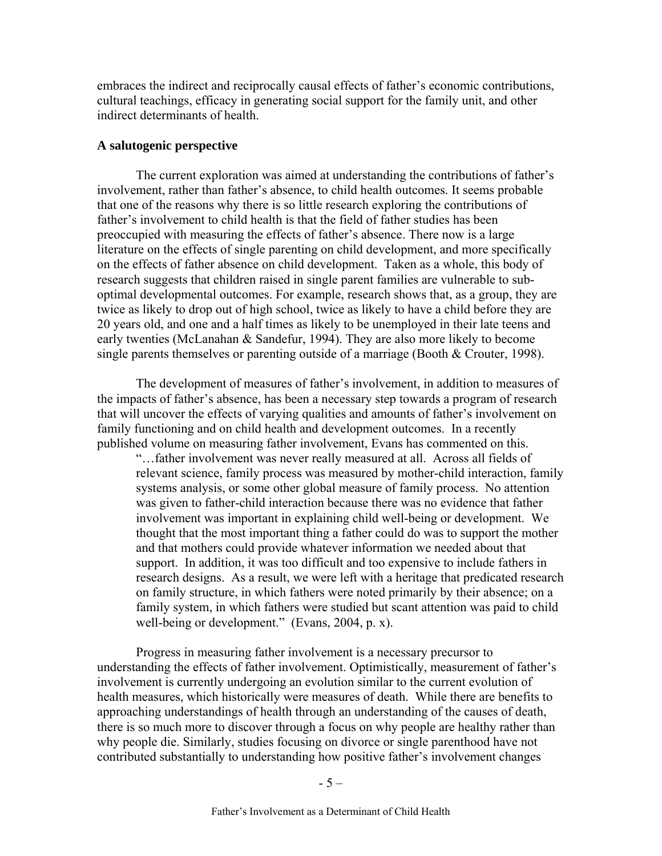embraces the indirect and reciprocally causal effects of father's economic contributions, cultural teachings, efficacy in generating social support for the family unit, and other indirect determinants of health.

### **A salutogenic perspective**

The current exploration was aimed at understanding the contributions of father's involvement, rather than father's absence, to child health outcomes. It seems probable that one of the reasons why there is so little research exploring the contributions of father's involvement to child health is that the field of father studies has been preoccupied with measuring the effects of father's absence. There now is a large literature on the effects of single parenting on child development, and more specifically on the effects of father absence on child development. Taken as a whole, this body of research suggests that children raised in single parent families are vulnerable to suboptimal developmental outcomes. For example, research shows that, as a group, they are twice as likely to drop out of high school, twice as likely to have a child before they are 20 years old, and one and a half times as likely to be unemployed in their late teens and early twenties (McLanahan & Sandefur, 1994). They are also more likely to become single parents themselves or parenting outside of a marriage (Booth & Crouter, 1998).

The development of measures of father's involvement, in addition to measures of the impacts of father's absence, has been a necessary step towards a program of research that will uncover the effects of varying qualities and amounts of father's involvement on family functioning and on child health and development outcomes. In a recently published volume on measuring father involvement, Evans has commented on this.

"…father involvement was never really measured at all. Across all fields of relevant science, family process was measured by mother-child interaction, family systems analysis, or some other global measure of family process. No attention was given to father-child interaction because there was no evidence that father involvement was important in explaining child well-being or development. We thought that the most important thing a father could do was to support the mother and that mothers could provide whatever information we needed about that support. In addition, it was too difficult and too expensive to include fathers in research designs. As a result, we were left with a heritage that predicated research on family structure, in which fathers were noted primarily by their absence; on a family system, in which fathers were studied but scant attention was paid to child well-being or development." (Evans, 2004, p. x).

Progress in measuring father involvement is a necessary precursor to understanding the effects of father involvement. Optimistically, measurement of father's involvement is currently undergoing an evolution similar to the current evolution of health measures, which historically were measures of death. While there are benefits to approaching understandings of health through an understanding of the causes of death, there is so much more to discover through a focus on why people are healthy rather than why people die. Similarly, studies focusing on divorce or single parenthood have not contributed substantially to understanding how positive father's involvement changes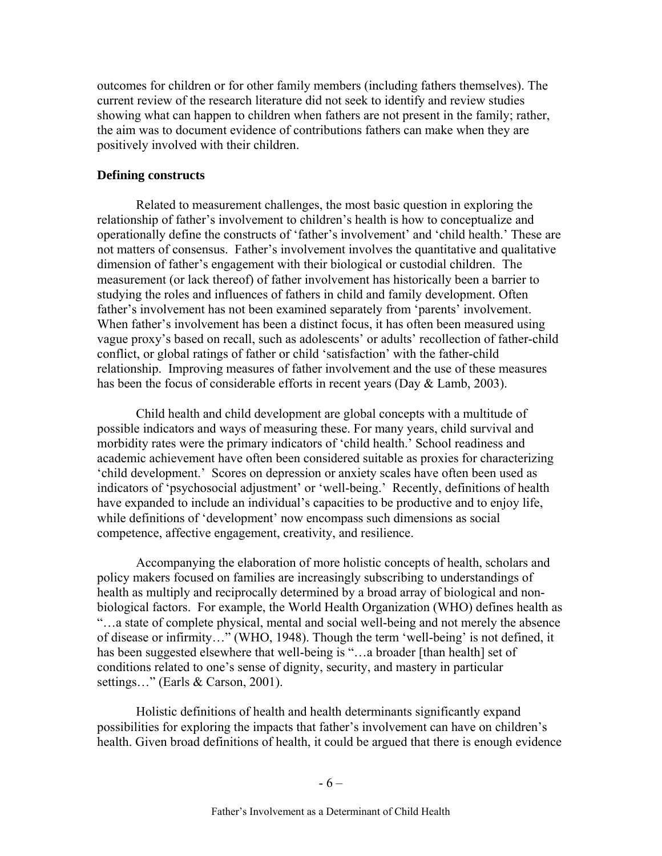outcomes for children or for other family members (including fathers themselves). The current review of the research literature did not seek to identify and review studies showing what can happen to children when fathers are not present in the family; rather, the aim was to document evidence of contributions fathers can make when they are positively involved with their children.

### **Defining constructs**

Related to measurement challenges, the most basic question in exploring the relationship of father's involvement to children's health is how to conceptualize and operationally define the constructs of 'father's involvement' and 'child health.' These are not matters of consensus.Father's involvement involves the quantitative and qualitative dimension of father's engagement with their biological or custodial children. The measurement (or lack thereof) of father involvement has historically been a barrier to studying the roles and influences of fathers in child and family development. Often father's involvement has not been examined separately from 'parents' involvement. When father's involvement has been a distinct focus, it has often been measured using vague proxy's based on recall, such as adolescents' or adults' recollection of father-child conflict, or global ratings of father or child 'satisfaction' with the father-child relationship. Improving measures of father involvement and the use of these measures has been the focus of considerable efforts in recent years (Day & Lamb, 2003).

Child health and child development are global concepts with a multitude of possible indicators and ways of measuring these. For many years, child survival and morbidity rates were the primary indicators of 'child health.' School readiness and academic achievement have often been considered suitable as proxies for characterizing 'child development.' Scores on depression or anxiety scales have often been used as indicators of 'psychosocial adjustment' or 'well-being.' Recently, definitions of health have expanded to include an individual's capacities to be productive and to enjoy life, while definitions of 'development' now encompass such dimensions as social competence, affective engagement, creativity, and resilience.

Accompanying the elaboration of more holistic concepts of health, scholars and policy makers focused on families are increasingly subscribing to understandings of health as multiply and reciprocally determined by a broad array of biological and nonbiological factors. For example, the World Health Organization (WHO) defines health as "…a state of complete physical, mental and social well-being and not merely the absence of disease or infirmity…" (WHO, 1948). Though the term 'well-being' is not defined, it has been suggested elsewhere that well-being is "...a broader [than health] set of conditions related to one's sense of dignity, security, and mastery in particular settings..." (Earls & Carson, 2001).

Holistic definitions of health and health determinants significantly expand possibilities for exploring the impacts that father's involvement can have on children's health. Given broad definitions of health, it could be argued that there is enough evidence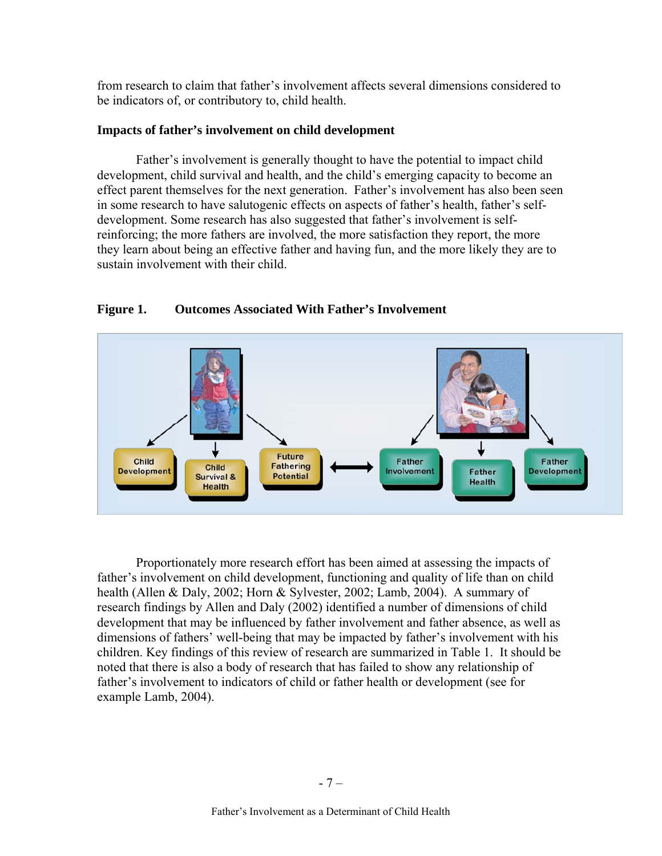from research to claim that father's involvement affects several dimensions considered to be indicators of, or contributory to, child health.

### **Impacts of father's involvement on child development**

 Father's involvement is generally thought to have the potential to impact child development, child survival and health, and the child's emerging capacity to become an effect parent themselves for the next generation. Father's involvement has also been seen in some research to have salutogenic effects on aspects of father's health, father's selfdevelopment. Some research has also suggested that father's involvement is selfreinforcing; the more fathers are involved, the more satisfaction they report, the more they learn about being an effective father and having fun, and the more likely they are to sustain involvement with their child.



### **Figure 1. Outcomes Associated With Father's Involvement**

Proportionately more research effort has been aimed at assessing the impacts of father's involvement on child development, functioning and quality of life than on child health (Allen & Daly, 2002; Horn & Sylvester, 2002; Lamb, 2004). A summary of research findings by Allen and Daly (2002) identified a number of dimensions of child development that may be influenced by father involvement and father absence, as well as dimensions of fathers' well-being that may be impacted by father's involvement with his children. Key findings of this review of research are summarized in Table 1. It should be noted that there is also a body of research that has failed to show any relationship of father's involvement to indicators of child or father health or development (see for example Lamb, 2004).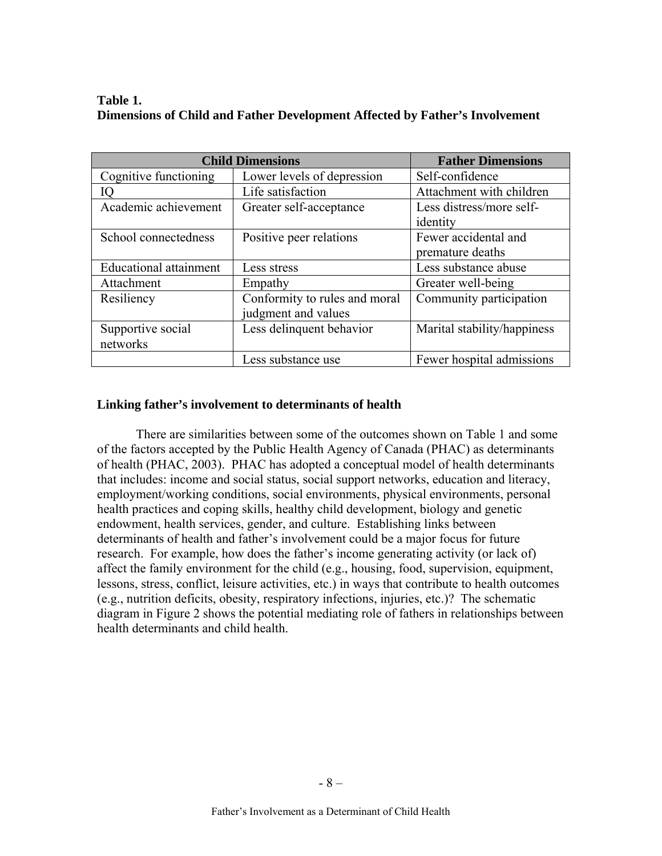| Table 1.                                                                    |  |
|-----------------------------------------------------------------------------|--|
| Dimensions of Child and Father Development Affected by Father's Involvement |  |

|                               | <b>Child Dimensions</b>       | <b>Father Dimensions</b>    |
|-------------------------------|-------------------------------|-----------------------------|
| Cognitive functioning         | Lower levels of depression    | Self-confidence             |
| IQ                            | Life satisfaction             | Attachment with children    |
| Academic achievement          | Greater self-acceptance       | Less distress/more self-    |
|                               |                               | identity                    |
| School connectedness          | Positive peer relations       | Fewer accidental and        |
|                               |                               | premature deaths            |
| <b>Educational attainment</b> | Less stress                   | Less substance abuse        |
| Attachment                    | Empathy                       | Greater well-being          |
| Resiliency                    | Conformity to rules and moral | Community participation     |
|                               | judgment and values           |                             |
| Supportive social             | Less delinquent behavior      | Marital stability/happiness |
| networks                      |                               |                             |
|                               | Less substance use            | Fewer hospital admissions   |

### **Linking father's involvement to determinants of health**

There are similarities between some of the outcomes shown on Table 1 and some of the factors accepted by the Public Health Agency of Canada (PHAC) as determinants of health (PHAC, 2003). PHAC has adopted a conceptual model of health determinants that includes: income and social status, social support networks, education and literacy, employment/working conditions, social environments, physical environments, personal health practices and coping skills, healthy child development, biology and genetic endowment, health services, gender, and culture. Establishing links between determinants of health and father's involvement could be a major focus for future research. For example, how does the father's income generating activity (or lack of) affect the family environment for the child (e.g., housing, food, supervision, equipment, lessons, stress, conflict, leisure activities, etc.) in ways that contribute to health outcomes (e.g., nutrition deficits, obesity, respiratory infections, injuries, etc.)? The schematic diagram in Figure 2 shows the potential mediating role of fathers in relationships between health determinants and child health.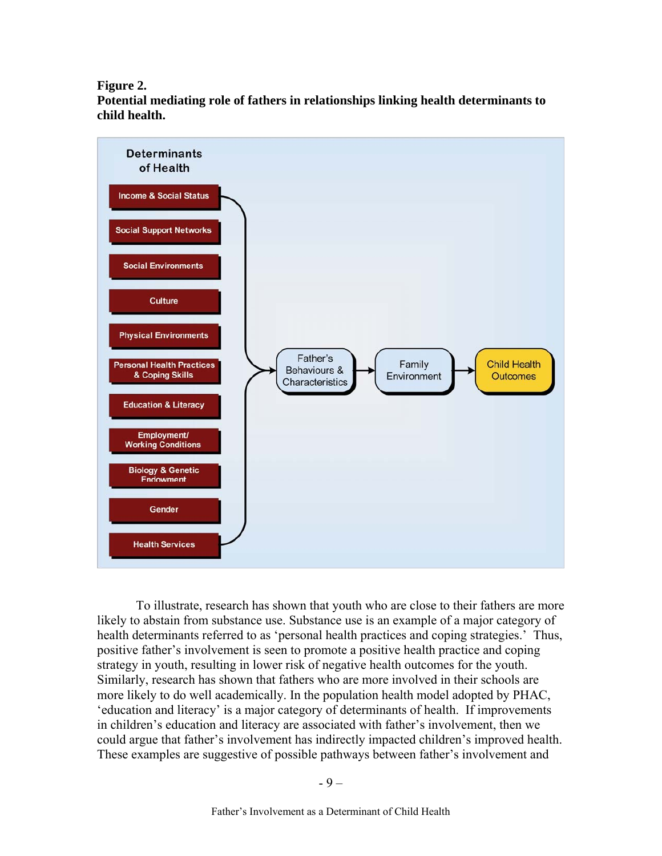#### **Figure 2.**

**Potential mediating role of fathers in relationships linking health determinants to child health.** 



To illustrate, research has shown that youth who are close to their fathers are more likely to abstain from substance use. Substance use is an example of a major category of health determinants referred to as 'personal health practices and coping strategies.' Thus, positive father's involvement is seen to promote a positive health practice and coping strategy in youth, resulting in lower risk of negative health outcomes for the youth. Similarly, research has shown that fathers who are more involved in their schools are more likely to do well academically. In the population health model adopted by PHAC, 'education and literacy' is a major category of determinants of health. If improvements in children's education and literacy are associated with father's involvement, then we could argue that father's involvement has indirectly impacted children's improved health. These examples are suggestive of possible pathways between father's involvement and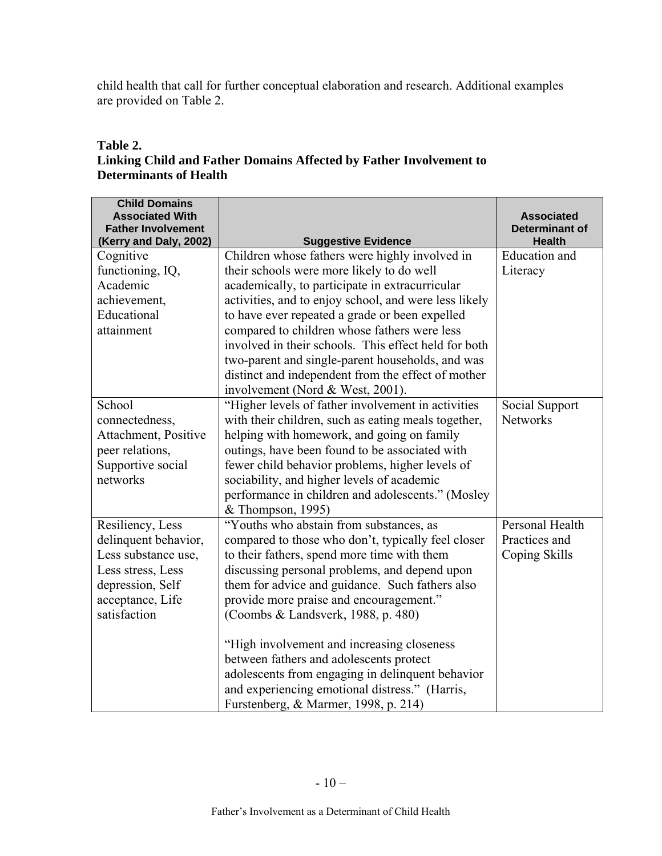child health that call for further conceptual elaboration and research. Additional examples are provided on Table 2.

### **Table 2.**

# **Linking Child and Father Domains Affected by Father Involvement to Determinants of Health**

| <b>Child Domains</b><br><b>Associated With</b><br><b>Father Involvement</b><br>(Kerry and Daly, 2002)                                        | <b>Suggestive Evidence</b>                                                                                                                                                                                                                                                                                                                                                                                                                                                                                                                                                | <b>Associated</b><br><b>Determinant of</b><br><b>Health</b> |
|----------------------------------------------------------------------------------------------------------------------------------------------|---------------------------------------------------------------------------------------------------------------------------------------------------------------------------------------------------------------------------------------------------------------------------------------------------------------------------------------------------------------------------------------------------------------------------------------------------------------------------------------------------------------------------------------------------------------------------|-------------------------------------------------------------|
| Cognitive<br>functioning, IQ,<br>Academic<br>achievement,<br>Educational<br>attainment                                                       | Children whose fathers were highly involved in<br>their schools were more likely to do well<br>academically, to participate in extracurricular<br>activities, and to enjoy school, and were less likely<br>to have ever repeated a grade or been expelled<br>compared to children whose fathers were less<br>involved in their schools. This effect held for both<br>two-parent and single-parent households, and was<br>distinct and independent from the effect of mother<br>involvement (Nord & West, 2001).                                                           | Education and<br>Literacy                                   |
| School<br>connectedness,<br>Attachment, Positive<br>peer relations,<br>Supportive social<br>networks                                         | "Higher levels of father involvement in activities<br>with their children, such as eating meals together,<br>helping with homework, and going on family<br>outings, have been found to be associated with<br>fewer child behavior problems, higher levels of<br>sociability, and higher levels of academic<br>performance in children and adolescents." (Mosley<br>& Thompson, 1995)                                                                                                                                                                                      | Social Support<br><b>Networks</b>                           |
| Resiliency, Less<br>delinquent behavior,<br>Less substance use,<br>Less stress, Less<br>depression, Self<br>acceptance, Life<br>satisfaction | "Youths who abstain from substances, as<br>compared to those who don't, typically feel closer<br>to their fathers, spend more time with them<br>discussing personal problems, and depend upon<br>them for advice and guidance. Such fathers also<br>provide more praise and encouragement."<br>(Coombs & Landsverk, 1988, p. 480)<br>"High involvement and increasing closeness"<br>between fathers and adolescents protect<br>adolescents from engaging in delinquent behavior<br>and experiencing emotional distress." (Harris,<br>Furstenberg, & Marmer, 1998, p. 214) | Personal Health<br>Practices and<br>Coping Skills           |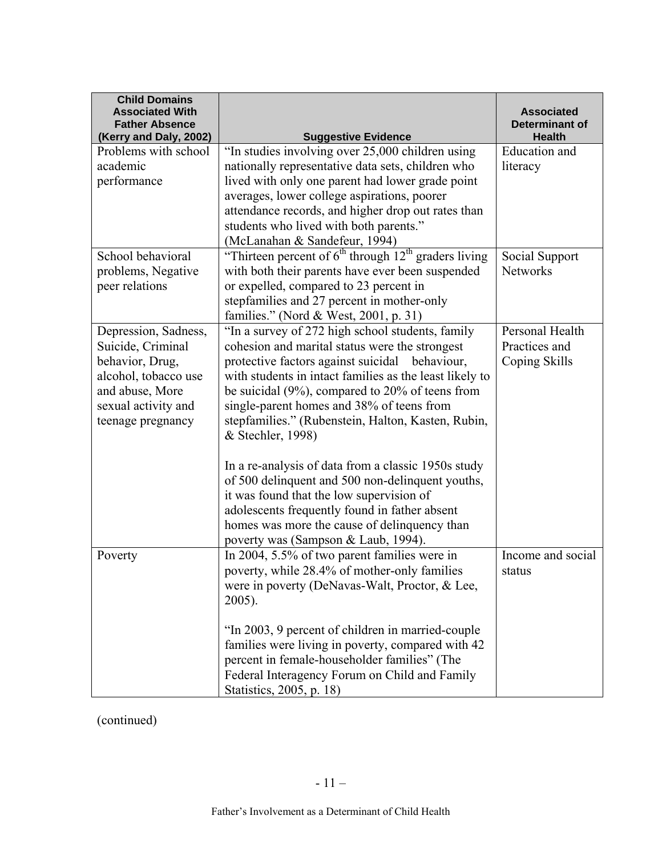| <b>Child Domains</b><br><b>Associated With</b>  |                                                                                           | <b>Associated</b>                      |
|-------------------------------------------------|-------------------------------------------------------------------------------------------|----------------------------------------|
| <b>Father Absence</b><br>(Kerry and Daly, 2002) | <b>Suggestive Evidence</b>                                                                | <b>Determinant of</b><br><b>Health</b> |
| Problems with school                            | "In studies involving over 25,000 children using                                          | Education and                          |
| academic                                        | nationally representative data sets, children who                                         | literacy                               |
| performance                                     | lived with only one parent had lower grade point                                          |                                        |
|                                                 | averages, lower college aspirations, poorer                                               |                                        |
|                                                 | attendance records, and higher drop out rates than                                        |                                        |
|                                                 | students who lived with both parents."                                                    |                                        |
| School behavioral                               | (McLanahan & Sandefeur, 1994)<br>"Thirteen percent of $6th$ through $12th$ graders living | Social Support                         |
| problems, Negative                              | with both their parents have ever been suspended                                          | <b>Networks</b>                        |
| peer relations                                  | or expelled, compared to 23 percent in                                                    |                                        |
|                                                 | stepfamilies and 27 percent in mother-only                                                |                                        |
|                                                 | families." (Nord & West, 2001, p. 31)                                                     |                                        |
| Depression, Sadness,                            | "In a survey of 272 high school students, family                                          | Personal Health                        |
| Suicide, Criminal                               | cohesion and marital status were the strongest                                            | Practices and                          |
| behavior, Drug,                                 | protective factors against suicidal behaviour,                                            | Coping Skills                          |
| alcohol, tobacco use                            | with students in intact families as the least likely to                                   |                                        |
| and abuse, More                                 | be suicidal $(9\%)$ , compared to 20% of teens from                                       |                                        |
| sexual activity and                             | single-parent homes and 38% of teens from                                                 |                                        |
| teenage pregnancy                               | stepfamilies." (Rubenstein, Halton, Kasten, Rubin,                                        |                                        |
|                                                 | & Stechler, 1998)                                                                         |                                        |
|                                                 | In a re-analysis of data from a classic 1950s study                                       |                                        |
|                                                 | of 500 delinquent and 500 non-delinquent youths,                                          |                                        |
|                                                 | it was found that the low supervision of                                                  |                                        |
|                                                 | adolescents frequently found in father absent                                             |                                        |
|                                                 | homes was more the cause of delinquency than                                              |                                        |
|                                                 | poverty was (Sampson & Laub, 1994).                                                       |                                        |
| Poverty                                         | In 2004, 5.5% of two parent families were in                                              | Income and social                      |
|                                                 | poverty, while 28.4% of mother-only families                                              | status                                 |
|                                                 | were in poverty (DeNavas-Walt, Proctor, & Lee,                                            |                                        |
|                                                 | 2005).                                                                                    |                                        |
|                                                 | "In 2003, 9 percent of children in married-couple                                         |                                        |
|                                                 | families were living in poverty, compared with 42                                         |                                        |
|                                                 | percent in female-householder families" (The                                              |                                        |
|                                                 | Federal Interagency Forum on Child and Family                                             |                                        |
|                                                 | Statistics, 2005, p. 18)                                                                  |                                        |

(continued)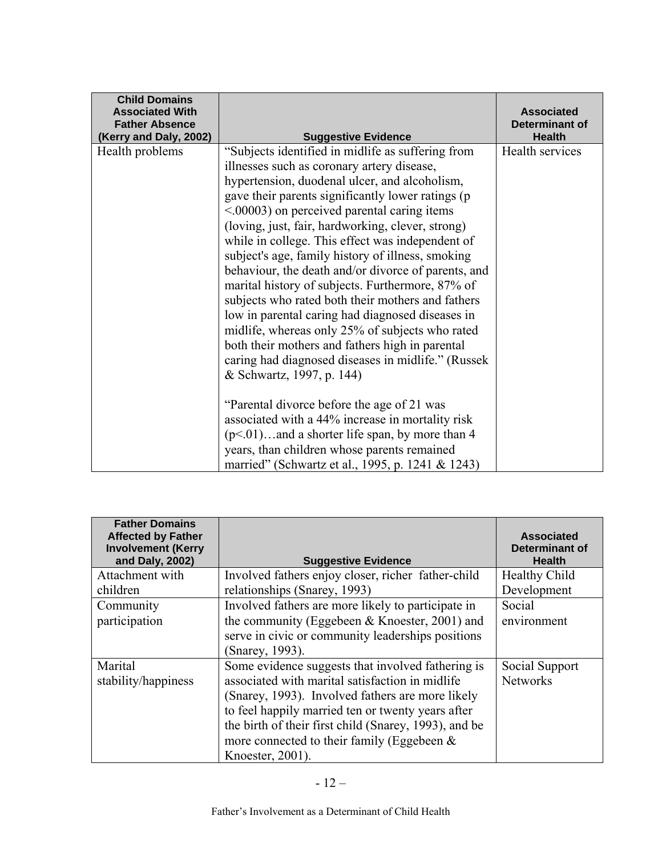| <b>Child Domains</b><br><b>Associated With</b><br><b>Father Absence</b><br>(Kerry and Daly, 2002) | <b>Suggestive Evidence</b>                                                                                                                                                                                                                                                                                                                                                                                                                                                                                                                                                                                                                                                                                                                                                                                                                                                                                                                                                                                                                                                                        | <b>Associated</b><br>Determinant of<br><b>Health</b> |
|---------------------------------------------------------------------------------------------------|---------------------------------------------------------------------------------------------------------------------------------------------------------------------------------------------------------------------------------------------------------------------------------------------------------------------------------------------------------------------------------------------------------------------------------------------------------------------------------------------------------------------------------------------------------------------------------------------------------------------------------------------------------------------------------------------------------------------------------------------------------------------------------------------------------------------------------------------------------------------------------------------------------------------------------------------------------------------------------------------------------------------------------------------------------------------------------------------------|------------------------------------------------------|
| Health problems                                                                                   | "Subjects identified in midlife as suffering from<br>illnesses such as coronary artery disease,<br>hypertension, duodenal ulcer, and alcoholism,<br>gave their parents significantly lower ratings (p<br>$\leq 0.00003$ ) on perceived parental caring items<br>(loving, just, fair, hardworking, clever, strong)<br>while in college. This effect was independent of<br>subject's age, family history of illness, smoking<br>behaviour, the death and/or divorce of parents, and<br>marital history of subjects. Furthermore, 87% of<br>subjects who rated both their mothers and fathers<br>low in parental caring had diagnosed diseases in<br>midlife, whereas only 25% of subjects who rated<br>both their mothers and fathers high in parental<br>caring had diagnosed diseases in midlife." (Russek<br>& Schwartz, 1997, p. 144)<br>"Parental divorce before the age of 21 was<br>associated with a 44% increase in mortality risk<br>$(p<.01)$ and a shorter life span, by more than 4<br>years, than children whose parents remained<br>married" (Schwartz et al., 1995, p. 1241 & 1243) | Health services                                      |

| <b>Father Domains</b><br><b>Affected by Father</b><br><b>Involvement (Kerry</b><br>and Daly, 2002) | <b>Suggestive Evidence</b>                                                                                                                                                                                                                                                                                                                  | <b>Associated</b><br>Determinant of<br><b>Health</b> |
|----------------------------------------------------------------------------------------------------|---------------------------------------------------------------------------------------------------------------------------------------------------------------------------------------------------------------------------------------------------------------------------------------------------------------------------------------------|------------------------------------------------------|
| Attachment with                                                                                    | Involved fathers enjoy closer, richer father-child                                                                                                                                                                                                                                                                                          | <b>Healthy Child</b>                                 |
| children                                                                                           | relationships (Snarey, 1993)                                                                                                                                                                                                                                                                                                                | Development                                          |
| Community                                                                                          | Involved fathers are more likely to participate in                                                                                                                                                                                                                                                                                          | Social                                               |
| participation                                                                                      | the community (Eggebeen $&$ Knoester, 2001) and                                                                                                                                                                                                                                                                                             | environment                                          |
|                                                                                                    | serve in civic or community leaderships positions                                                                                                                                                                                                                                                                                           |                                                      |
|                                                                                                    | (Snarey, 1993).                                                                                                                                                                                                                                                                                                                             |                                                      |
| Marital<br>stability/happiness                                                                     | Some evidence suggests that involved fathering is<br>associated with marital satisfaction in midlife<br>(Snarey, 1993). Involved fathers are more likely<br>to feel happily married ten or twenty years after<br>the birth of their first child (Snarey, 1993), and be<br>more connected to their family (Eggebeen $\&$<br>Knoester, 2001). | Social Support<br><b>Networks</b>                    |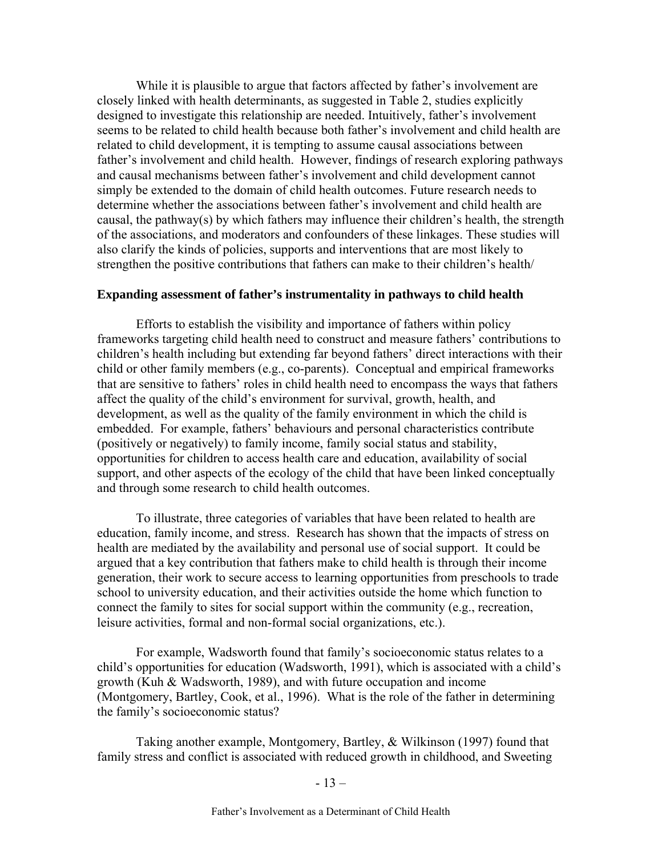While it is plausible to argue that factors affected by father's involvement are closely linked with health determinants, as suggested in Table 2, studies explicitly designed to investigate this relationship are needed. Intuitively, father's involvement seems to be related to child health because both father's involvement and child health are related to child development, it is tempting to assume causal associations between father's involvement and child health. However, findings of research exploring pathways and causal mechanisms between father's involvement and child development cannot simply be extended to the domain of child health outcomes. Future research needs to determine whether the associations between father's involvement and child health are causal, the pathway(s) by which fathers may influence their children's health, the strength of the associations, and moderators and confounders of these linkages. These studies will also clarify the kinds of policies, supports and interventions that are most likely to strengthen the positive contributions that fathers can make to their children's health/

#### **Expanding assessment of father's instrumentality in pathways to child health**

Efforts to establish the visibility and importance of fathers within policy frameworks targeting child health need to construct and measure fathers' contributions to children's health including but extending far beyond fathers' direct interactions with their child or other family members (e.g., co-parents). Conceptual and empirical frameworks that are sensitive to fathers' roles in child health need to encompass the ways that fathers affect the quality of the child's environment for survival, growth, health, and development, as well as the quality of the family environment in which the child is embedded. For example, fathers' behaviours and personal characteristics contribute (positively or negatively) to family income, family social status and stability, opportunities for children to access health care and education, availability of social support, and other aspects of the ecology of the child that have been linked conceptually and through some research to child health outcomes.

To illustrate, three categories of variables that have been related to health are education, family income, and stress. Research has shown that the impacts of stress on health are mediated by the availability and personal use of social support. It could be argued that a key contribution that fathers make to child health is through their income generation, their work to secure access to learning opportunities from preschools to trade school to university education, and their activities outside the home which function to connect the family to sites for social support within the community (e.g., recreation, leisure activities, formal and non-formal social organizations, etc.).

For example, Wadsworth found that family's socioeconomic status relates to a child's opportunities for education (Wadsworth, 1991), which is associated with a child's growth (Kuh & Wadsworth, 1989), and with future occupation and income (Montgomery, Bartley, Cook, et al., 1996). What is the role of the father in determining the family's socioeconomic status?

Taking another example, Montgomery, Bartley, & Wilkinson (1997) found that family stress and conflict is associated with reduced growth in childhood, and Sweeting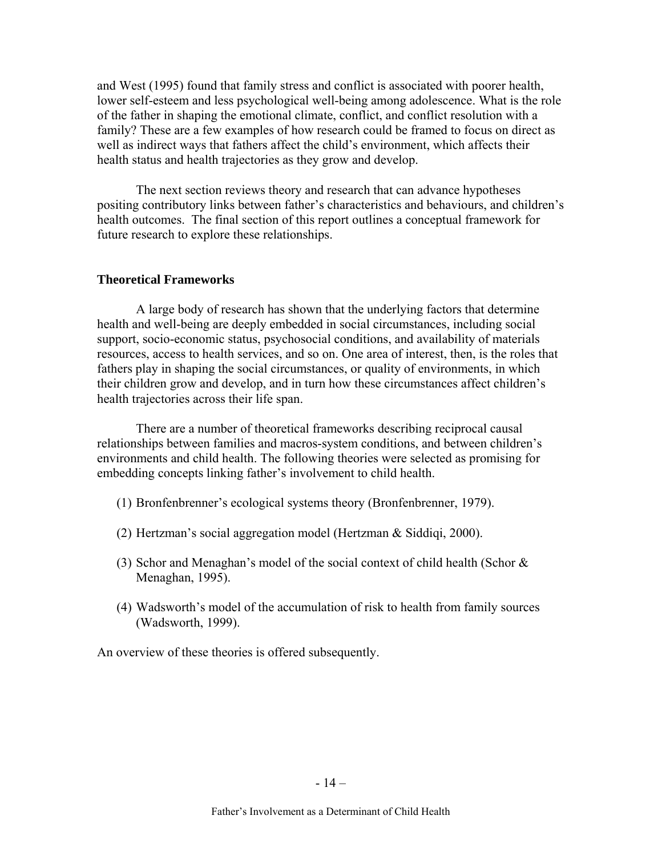and West (1995) found that family stress and conflict is associated with poorer health, lower self-esteem and less psychological well-being among adolescence. What is the role of the father in shaping the emotional climate, conflict, and conflict resolution with a family? These are a few examples of how research could be framed to focus on direct as well as indirect ways that fathers affect the child's environment, which affects their health status and health trajectories as they grow and develop.

The next section reviews theory and research that can advance hypotheses positing contributory links between father's characteristics and behaviours, and children's health outcomes. The final section of this report outlines a conceptual framework for future research to explore these relationships.

### **Theoretical Frameworks**

A large body of research has shown that the underlying factors that determine health and well-being are deeply embedded in social circumstances, including social support, socio-economic status, psychosocial conditions, and availability of materials resources, access to health services, and so on. One area of interest, then, is the roles that fathers play in shaping the social circumstances, or quality of environments, in which their children grow and develop, and in turn how these circumstances affect children's health trajectories across their life span.

There are a number of theoretical frameworks describing reciprocal causal relationships between families and macros-system conditions, and between children's environments and child health. The following theories were selected as promising for embedding concepts linking father's involvement to child health.

- (1) Bronfenbrenner's ecological systems theory (Bronfenbrenner, 1979).
- (2) Hertzman's social aggregation model (Hertzman & Siddiqi, 2000).
- (3) Schor and Menaghan's model of the social context of child health (Schor & Menaghan, 1995).
- (4) Wadsworth's model of the accumulation of risk to health from family sources (Wadsworth, 1999).

An overview of these theories is offered subsequently.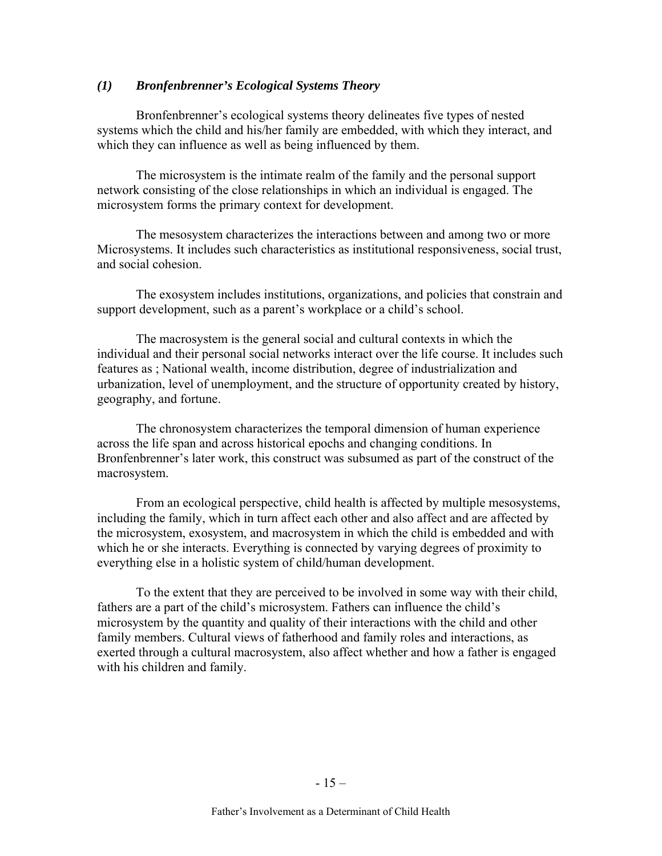### *(1) Bronfenbrenner's Ecological Systems Theory*

Bronfenbrenner's ecological systems theory delineates five types of nested systems which the child and his/her family are embedded, with which they interact, and which they can influence as well as being influenced by them.

The microsystem is the intimate realm of the family and the personal support network consisting of the close relationships in which an individual is engaged. The microsystem forms the primary context for development.

The mesosystem characterizes the interactions between and among two or more Microsystems. It includes such characteristics as institutional responsiveness, social trust, and social cohesion.

The exosystem includes institutions, organizations, and policies that constrain and support development, such as a parent's workplace or a child's school.

The macrosystem is the general social and cultural contexts in which the individual and their personal social networks interact over the life course. It includes such features as ; National wealth, income distribution, degree of industrialization and urbanization, level of unemployment, and the structure of opportunity created by history, geography, and fortune.

The chronosystem characterizes the temporal dimension of human experience across the life span and across historical epochs and changing conditions. In Bronfenbrenner's later work, this construct was subsumed as part of the construct of the macrosystem.

From an ecological perspective, child health is affected by multiple mesosystems, including the family, which in turn affect each other and also affect and are affected by the microsystem, exosystem, and macrosystem in which the child is embedded and with which he or she interacts. Everything is connected by varying degrees of proximity to everything else in a holistic system of child/human development.

To the extent that they are perceived to be involved in some way with their child, fathers are a part of the child's microsystem. Fathers can influence the child's microsystem by the quantity and quality of their interactions with the child and other family members. Cultural views of fatherhood and family roles and interactions, as exerted through a cultural macrosystem, also affect whether and how a father is engaged with his children and family.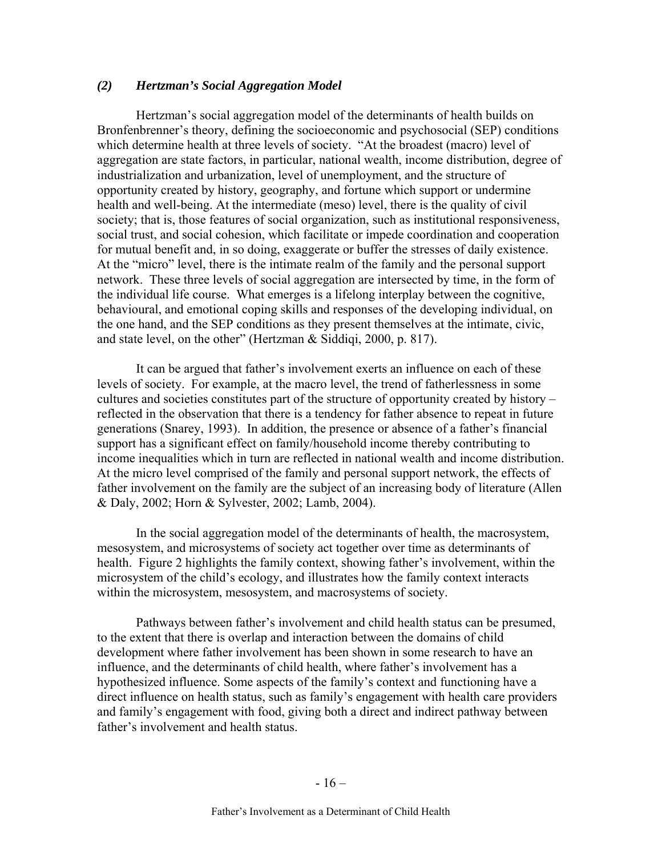### *(2) Hertzman's Social Aggregation Model*

Hertzman's social aggregation model of the determinants of health builds on Bronfenbrenner's theory, defining the socioeconomic and psychosocial (SEP) conditions which determine health at three levels of society. "At the broadest (macro) level of aggregation are state factors, in particular, national wealth, income distribution, degree of industrialization and urbanization, level of unemployment, and the structure of opportunity created by history, geography, and fortune which support or undermine health and well-being. At the intermediate (meso) level, there is the quality of civil society; that is, those features of social organization, such as institutional responsiveness, social trust, and social cohesion, which facilitate or impede coordination and cooperation for mutual benefit and, in so doing, exaggerate or buffer the stresses of daily existence. At the "micro" level, there is the intimate realm of the family and the personal support network. These three levels of social aggregation are intersected by time, in the form of the individual life course. What emerges is a lifelong interplay between the cognitive, behavioural, and emotional coping skills and responses of the developing individual, on the one hand, and the SEP conditions as they present themselves at the intimate, civic, and state level, on the other" (Hertzman & Siddiqi, 2000, p. 817).

It can be argued that father's involvement exerts an influence on each of these levels of society. For example, at the macro level, the trend of fatherlessness in some cultures and societies constitutes part of the structure of opportunity created by history – reflected in the observation that there is a tendency for father absence to repeat in future generations (Snarey, 1993). In addition, the presence or absence of a father's financial support has a significant effect on family/household income thereby contributing to income inequalities which in turn are reflected in national wealth and income distribution. At the micro level comprised of the family and personal support network, the effects of father involvement on the family are the subject of an increasing body of literature (Allen & Daly, 2002; Horn & Sylvester, 2002; Lamb, 2004).

In the social aggregation model of the determinants of health, the macrosystem, mesosystem, and microsystems of society act together over time as determinants of health. Figure 2 highlights the family context, showing father's involvement, within the microsystem of the child's ecology, and illustrates how the family context interacts within the microsystem, mesosystem, and macrosystems of society.

Pathways between father's involvement and child health status can be presumed, to the extent that there is overlap and interaction between the domains of child development where father involvement has been shown in some research to have an influence, and the determinants of child health, where father's involvement has a hypothesized influence. Some aspects of the family's context and functioning have a direct influence on health status, such as family's engagement with health care providers and family's engagement with food, giving both a direct and indirect pathway between father's involvement and health status.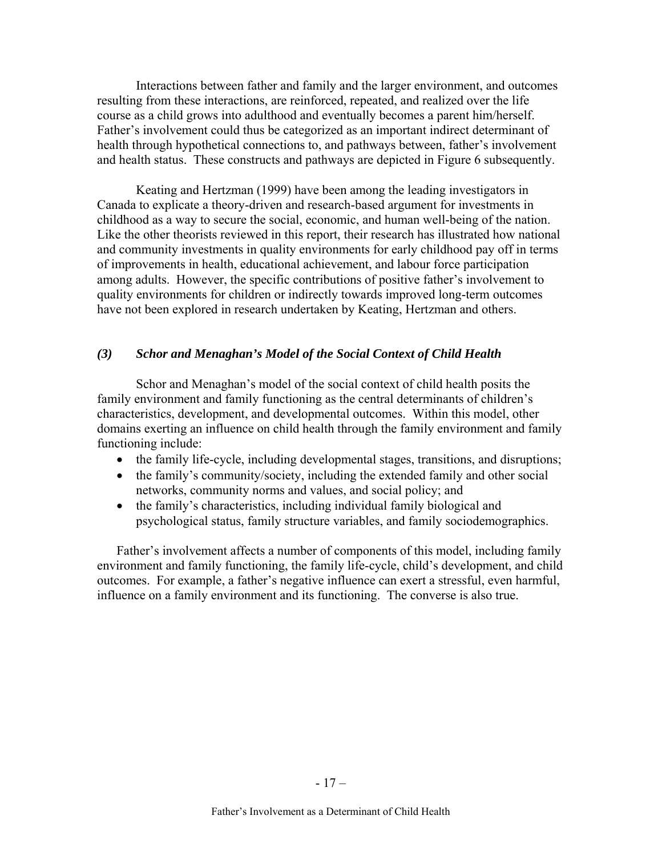Interactions between father and family and the larger environment, and outcomes resulting from these interactions, are reinforced, repeated, and realized over the life course as a child grows into adulthood and eventually becomes a parent him/herself. Father's involvement could thus be categorized as an important indirect determinant of health through hypothetical connections to, and pathways between, father's involvement and health status. These constructs and pathways are depicted in Figure 6 subsequently.

Keating and Hertzman (1999) have been among the leading investigators in Canada to explicate a theory-driven and research-based argument for investments in childhood as a way to secure the social, economic, and human well-being of the nation. Like the other theorists reviewed in this report, their research has illustrated how national and community investments in quality environments for early childhood pay off in terms of improvements in health, educational achievement, and labour force participation among adults. However, the specific contributions of positive father's involvement to quality environments for children or indirectly towards improved long-term outcomes have not been explored in research undertaken by Keating, Hertzman and others.

#### *(3) Schor and Menaghan's Model of the Social Context of Child Health*

Schor and Menaghan's model of the social context of child health posits the family environment and family functioning as the central determinants of children's characteristics, development, and developmental outcomes. Within this model, other domains exerting an influence on child health through the family environment and family functioning include:

- the family life-cycle, including developmental stages, transitions, and disruptions;
- the family's community/society, including the extended family and other social networks, community norms and values, and social policy; and
- the family's characteristics, including individual family biological and psychological status, family structure variables, and family sociodemographics.

Father's involvement affects a number of components of this model, including family environment and family functioning, the family life-cycle, child's development, and child outcomes. For example, a father's negative influence can exert a stressful, even harmful, influence on a family environment and its functioning. The converse is also true.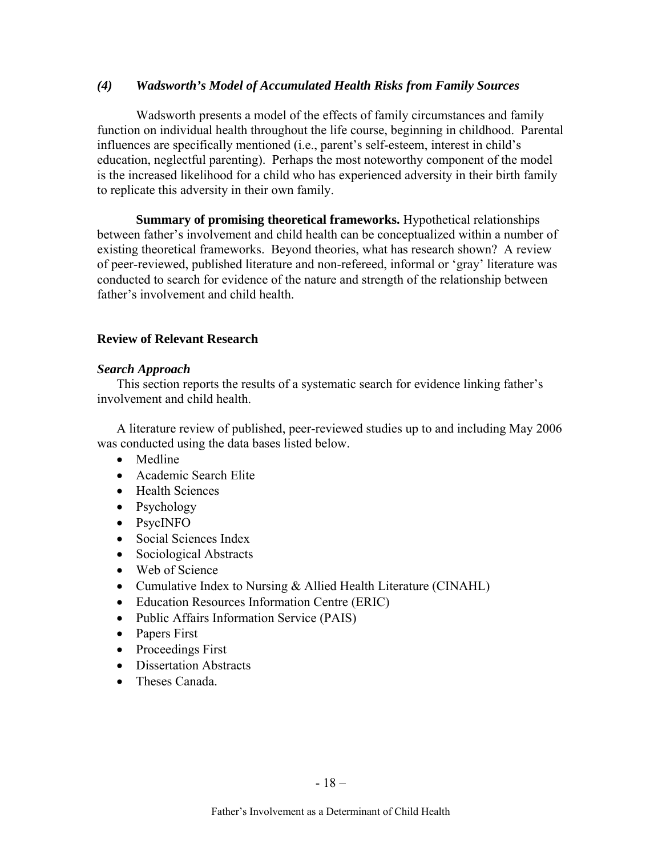### *(4) Wadsworth's Model of Accumulated Health Risks from Family Sources*

Wadsworth presents a model of the effects of family circumstances and family function on individual health throughout the life course, beginning in childhood. Parental influences are specifically mentioned (i.e., parent's self-esteem, interest in child's education, neglectful parenting). Perhaps the most noteworthy component of the model is the increased likelihood for a child who has experienced adversity in their birth family to replicate this adversity in their own family.

**Summary of promising theoretical frameworks.** Hypothetical relationships between father's involvement and child health can be conceptualized within a number of existing theoretical frameworks. Beyond theories, what has research shown? A review of peer-reviewed, published literature and non-refereed, informal or 'gray' literature was conducted to search for evidence of the nature and strength of the relationship between father's involvement and child health.

### **Review of Relevant Research**

### *Search Approach*

This section reports the results of a systematic search for evidence linking father's involvement and child health.

A literature review of published, peer-reviewed studies up to and including May 2006 was conducted using the data bases listed below.

- Medline
- Academic Search Elite
- Health Sciences
- Psychology
- PsycINFO
- Social Sciences Index
- Sociological Abstracts
- Web of Science
- Cumulative Index to Nursing & Allied Health Literature (CINAHL)
- Education Resources Information Centre (ERIC)
- Public Affairs Information Service (PAIS)
- Papers First
- Proceedings First
- Dissertation Abstracts
- Theses Canada.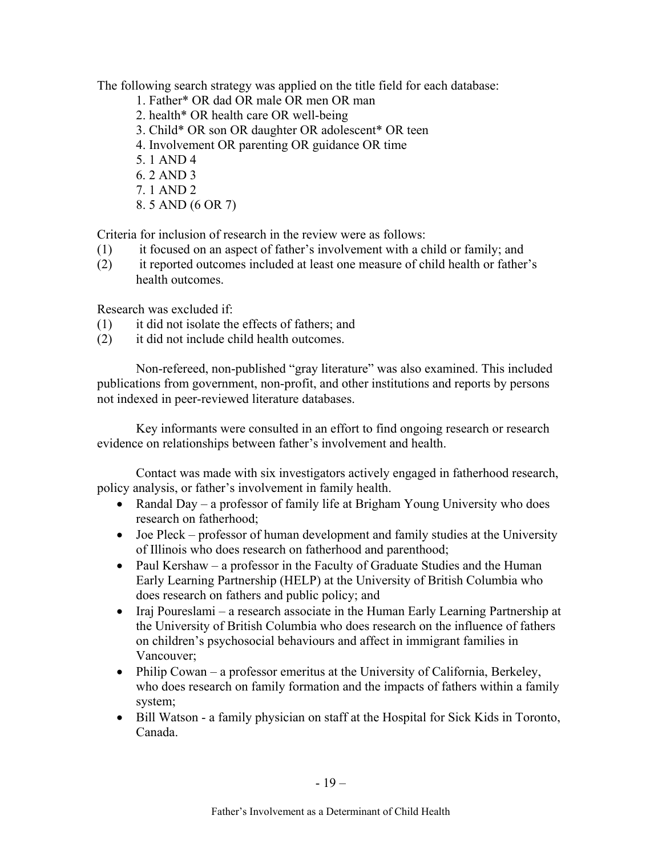The following search strategy was applied on the title field for each database:

- 1. Father\* OR dad OR male OR men OR man
- 2. health\* OR health care OR well-being
- 3. Child\* OR son OR daughter OR adolescent\* OR teen
- 4. Involvement OR parenting OR guidance OR time
- 5. 1 AND 4
- 6. 2 AND 3
- 7. 1 AND 2
- 8. 5 AND (6 OR 7)

Criteria for inclusion of research in the review were as follows:

- (1) it focused on an aspect of father's involvement with a child or family; and
- (2) it reported outcomes included at least one measure of child health or father's health outcomes.

Research was excluded if:

- (1) it did not isolate the effects of fathers; and
- (2) it did not include child health outcomes.

Non-refereed, non-published "gray literature" was also examined. This included publications from government, non-profit, and other institutions and reports by persons not indexed in peer-reviewed literature databases.

Key informants were consulted in an effort to find ongoing research or research evidence on relationships between father's involvement and health.

Contact was made with six investigators actively engaged in fatherhood research, policy analysis, or father's involvement in family health.

- Randal Day a professor of family life at Brigham Young University who does research on fatherhood;
- Joe Pleck professor of human development and family studies at the University of Illinois who does research on fatherhood and parenthood;
- Paul Kershaw a professor in the Faculty of Graduate Studies and the Human Early Learning Partnership (HELP) at the University of British Columbia who does research on fathers and public policy; and
- Iraj Poureslami a research associate in the Human Early Learning Partnership at the University of British Columbia who does research on the influence of fathers on children's psychosocial behaviours and affect in immigrant families in Vancouver;
- Philip Cowan a professor emeritus at the University of California, Berkeley, who does research on family formation and the impacts of fathers within a family system;
- Bill Watson a family physician on staff at the Hospital for Sick Kids in Toronto, Canada.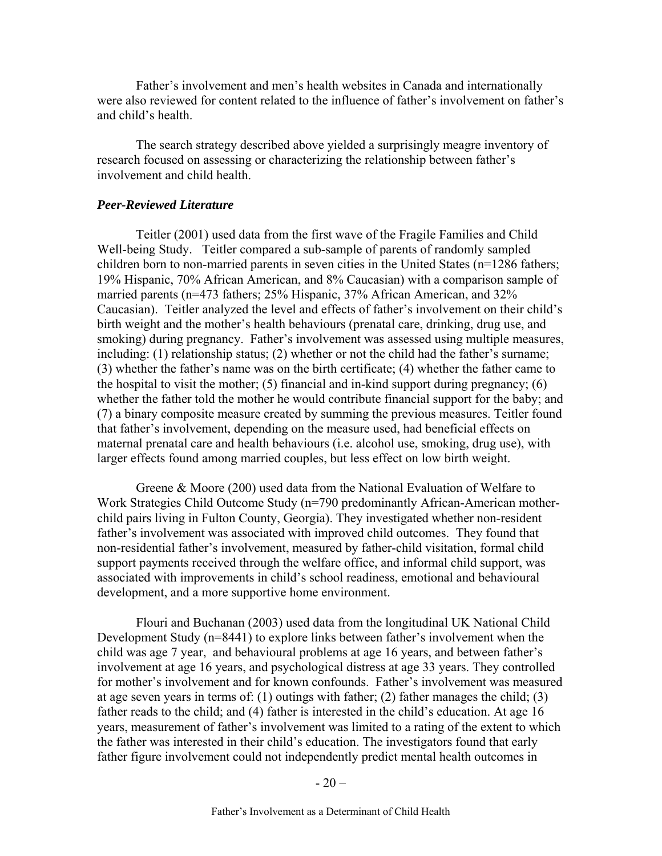Father's involvement and men's health websites in Canada and internationally were also reviewed for content related to the influence of father's involvement on father's and child's health.

The search strategy described above yielded a surprisingly meagre inventory of research focused on assessing or characterizing the relationship between father's involvement and child health.

#### *Peer-Reviewed Literature*

Teitler (2001) used data from the first wave of the Fragile Families and Child Well-being Study. Teitler compared a sub-sample of parents of randomly sampled children born to non-married parents in seven cities in the United States (n=1286 fathers; 19% Hispanic, 70% African American, and 8% Caucasian) with a comparison sample of married parents (n=473 fathers; 25% Hispanic, 37% African American, and 32% Caucasian). Teitler analyzed the level and effects of father's involvement on their child's birth weight and the mother's health behaviours (prenatal care, drinking, drug use, and smoking) during pregnancy. Father's involvement was assessed using multiple measures, including: (1) relationship status; (2) whether or not the child had the father's surname; (3) whether the father's name was on the birth certificate; (4) whether the father came to the hospital to visit the mother; (5) financial and in-kind support during pregnancy; (6) whether the father told the mother he would contribute financial support for the baby; and (7) a binary composite measure created by summing the previous measures. Teitler found that father's involvement, depending on the measure used, had beneficial effects on maternal prenatal care and health behaviours (i.e. alcohol use, smoking, drug use), with larger effects found among married couples, but less effect on low birth weight.

Greene & Moore (200) used data from the National Evaluation of Welfare to Work Strategies Child Outcome Study (n=790 predominantly African-American motherchild pairs living in Fulton County, Georgia). They investigated whether non-resident father's involvement was associated with improved child outcomes. They found that non-residential father's involvement, measured by father-child visitation, formal child support payments received through the welfare office, and informal child support, was associated with improvements in child's school readiness, emotional and behavioural development, and a more supportive home environment.

Flouri and Buchanan (2003) used data from the longitudinal UK National Child Development Study (n=8441) to explore links between father's involvement when the child was age 7 year, and behavioural problems at age 16 years, and between father's involvement at age 16 years, and psychological distress at age 33 years. They controlled for mother's involvement and for known confounds. Father's involvement was measured at age seven years in terms of: (1) outings with father; (2) father manages the child; (3) father reads to the child; and (4) father is interested in the child's education. At age 16 years, measurement of father's involvement was limited to a rating of the extent to which the father was interested in their child's education. The investigators found that early father figure involvement could not independently predict mental health outcomes in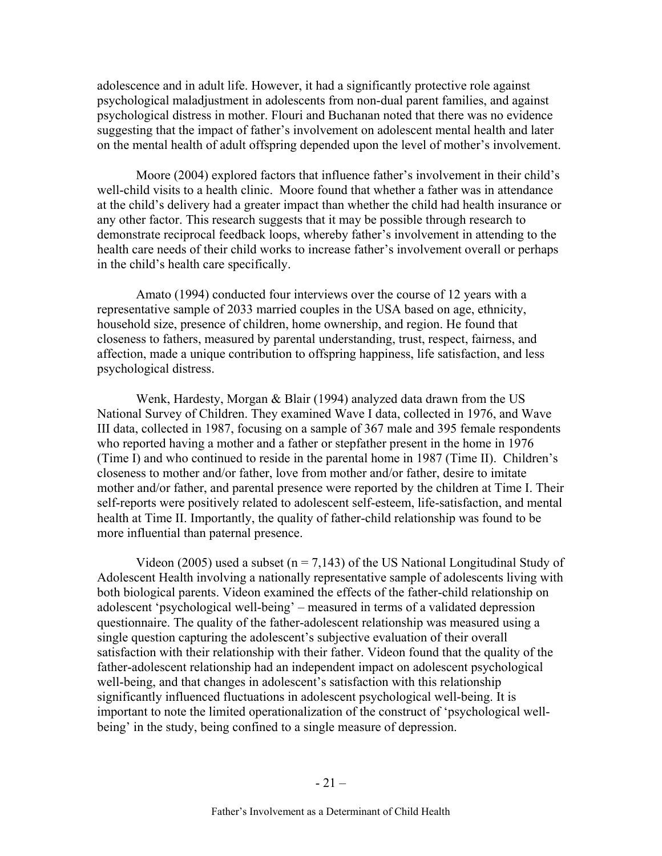adolescence and in adult life. However, it had a significantly protective role against psychological maladjustment in adolescents from non-dual parent families, and against psychological distress in mother. Flouri and Buchanan noted that there was no evidence suggesting that the impact of father's involvement on adolescent mental health and later on the mental health of adult offspring depended upon the level of mother's involvement.

Moore (2004) explored factors that influence father's involvement in their child's well-child visits to a health clinic. Moore found that whether a father was in attendance at the child's delivery had a greater impact than whether the child had health insurance or any other factor. This research suggests that it may be possible through research to demonstrate reciprocal feedback loops, whereby father's involvement in attending to the health care needs of their child works to increase father's involvement overall or perhaps in the child's health care specifically.

Amato (1994) conducted four interviews over the course of 12 years with a representative sample of 2033 married couples in the USA based on age, ethnicity, household size, presence of children, home ownership, and region. He found that closeness to fathers, measured by parental understanding, trust, respect, fairness, and affection, made a unique contribution to offspring happiness, life satisfaction, and less psychological distress.

Wenk, Hardesty, Morgan & Blair (1994) analyzed data drawn from the US National Survey of Children. They examined Wave I data, collected in 1976, and Wave III data, collected in 1987, focusing on a sample of 367 male and 395 female respondents who reported having a mother and a father or stepfather present in the home in 1976 (Time I) and who continued to reside in the parental home in 1987 (Time II). Children's closeness to mother and/or father, love from mother and/or father, desire to imitate mother and/or father, and parental presence were reported by the children at Time I. Their self-reports were positively related to adolescent self-esteem, life-satisfaction, and mental health at Time II. Importantly, the quality of father-child relationship was found to be more influential than paternal presence.

Videon (2005) used a subset ( $n = 7,143$ ) of the US National Longitudinal Study of Adolescent Health involving a nationally representative sample of adolescents living with both biological parents. Videon examined the effects of the father-child relationship on adolescent 'psychological well-being' – measured in terms of a validated depression questionnaire. The quality of the father-adolescent relationship was measured using a single question capturing the adolescent's subjective evaluation of their overall satisfaction with their relationship with their father. Videon found that the quality of the father-adolescent relationship had an independent impact on adolescent psychological well-being, and that changes in adolescent's satisfaction with this relationship significantly influenced fluctuations in adolescent psychological well-being. It is important to note the limited operationalization of the construct of 'psychological wellbeing' in the study, being confined to a single measure of depression.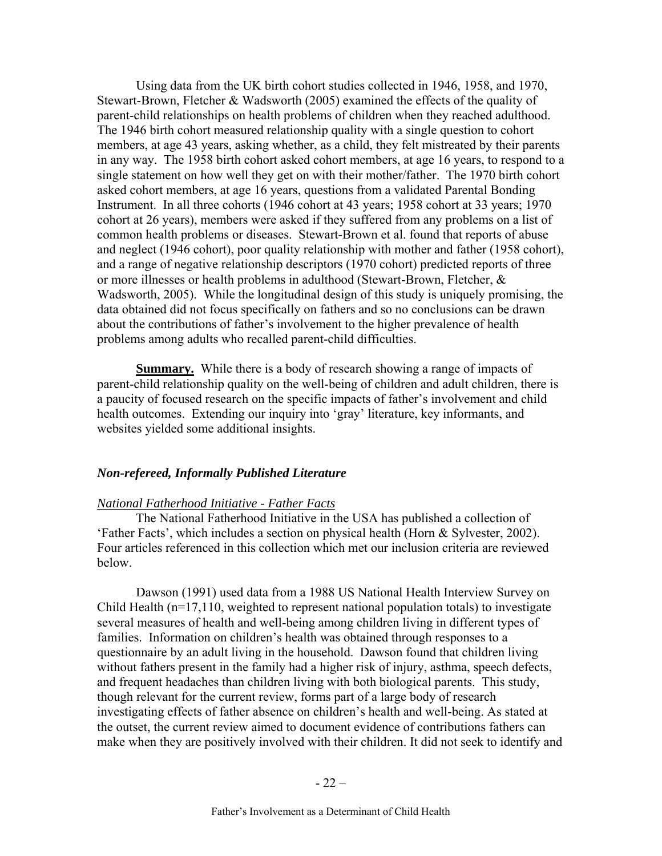Using data from the UK birth cohort studies collected in 1946, 1958, and 1970, Stewart-Brown, Fletcher & Wadsworth (2005) examined the effects of the quality of parent-child relationships on health problems of children when they reached adulthood. The 1946 birth cohort measured relationship quality with a single question to cohort members, at age 43 years, asking whether, as a child, they felt mistreated by their parents in any way. The 1958 birth cohort asked cohort members, at age 16 years, to respond to a single statement on how well they get on with their mother/father. The 1970 birth cohort asked cohort members, at age 16 years, questions from a validated Parental Bonding Instrument. In all three cohorts (1946 cohort at 43 years; 1958 cohort at 33 years; 1970 cohort at 26 years), members were asked if they suffered from any problems on a list of common health problems or diseases. Stewart-Brown et al. found that reports of abuse and neglect (1946 cohort), poor quality relationship with mother and father (1958 cohort), and a range of negative relationship descriptors (1970 cohort) predicted reports of three or more illnesses or health problems in adulthood (Stewart-Brown, Fletcher, & Wadsworth, 2005). While the longitudinal design of this study is uniquely promising, the data obtained did not focus specifically on fathers and so no conclusions can be drawn about the contributions of father's involvement to the higher prevalence of health problems among adults who recalled parent-child difficulties.

**Summary.** While there is a body of research showing a range of impacts of parent-child relationship quality on the well-being of children and adult children, there is a paucity of focused research on the specific impacts of father's involvement and child health outcomes. Extending our inquiry into 'gray' literature, key informants, and websites yielded some additional insights.

#### *Non-refereed, Informally Published Literature*

#### *National Fatherhood Initiative - Father Facts*

The National Fatherhood Initiative in the USA has published a collection of 'Father Facts', which includes a section on physical health (Horn & Sylvester, 2002). Four articles referenced in this collection which met our inclusion criteria are reviewed below.

Dawson (1991) used data from a 1988 US National Health Interview Survey on Child Health (n=17,110, weighted to represent national population totals) to investigate several measures of health and well-being among children living in different types of families. Information on children's health was obtained through responses to a questionnaire by an adult living in the household. Dawson found that children living without fathers present in the family had a higher risk of injury, asthma, speech defects, and frequent headaches than children living with both biological parents. This study, though relevant for the current review, forms part of a large body of research investigating effects of father absence on children's health and well-being. As stated at the outset, the current review aimed to document evidence of contributions fathers can make when they are positively involved with their children. It did not seek to identify and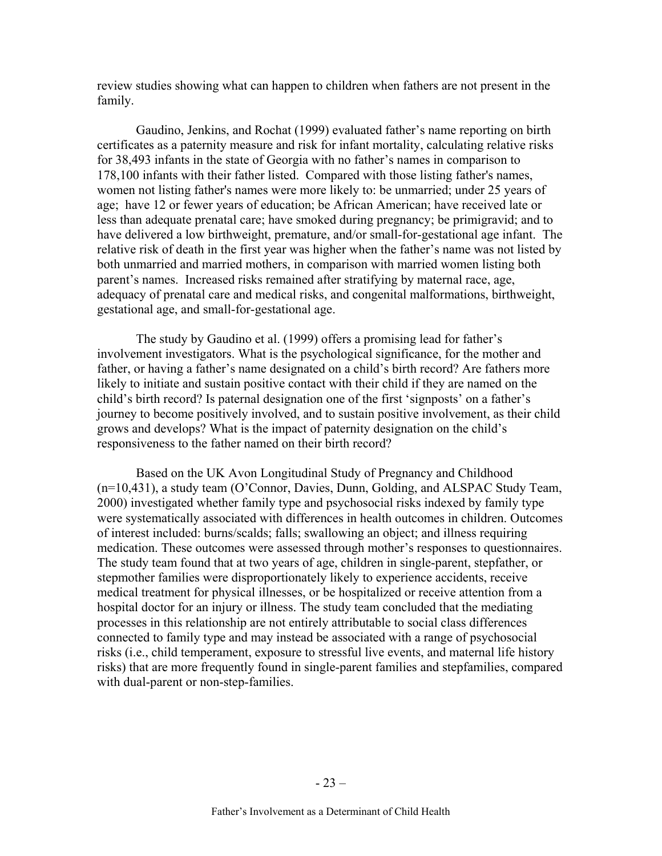review studies showing what can happen to children when fathers are not present in the family.

Gaudino, Jenkins, and Rochat (1999) evaluated father's name reporting on birth certificates as a paternity measure and risk for infant mortality, calculating relative risks for 38,493 infants in the state of Georgia with no father's names in comparison to 178,100 infants with their father listed. Compared with those listing father's names, women not listing father's names were more likely to: be unmarried; under 25 years of age; have 12 or fewer years of education; be African American; have received late or less than adequate prenatal care; have smoked during pregnancy; be primigravid; and to have delivered a low birthweight, premature, and/or small-for-gestational age infant. The relative risk of death in the first year was higher when the father's name was not listed by both unmarried and married mothers, in comparison with married women listing both parent's names. Increased risks remained after stratifying by maternal race, age, adequacy of prenatal care and medical risks, and congenital malformations, birthweight, gestational age, and small-for-gestational age.

The study by Gaudino et al. (1999) offers a promising lead for father's involvement investigators. What is the psychological significance, for the mother and father, or having a father's name designated on a child's birth record? Are fathers more likely to initiate and sustain positive contact with their child if they are named on the child's birth record? Is paternal designation one of the first 'signposts' on a father's journey to become positively involved, and to sustain positive involvement, as their child grows and develops? What is the impact of paternity designation on the child's responsiveness to the father named on their birth record?

Based on the UK Avon Longitudinal Study of Pregnancy and Childhood (n=10,431), a study team (O'Connor, Davies, Dunn, Golding, and ALSPAC Study Team, 2000) investigated whether family type and psychosocial risks indexed by family type were systematically associated with differences in health outcomes in children. Outcomes of interest included: burns/scalds; falls; swallowing an object; and illness requiring medication. These outcomes were assessed through mother's responses to questionnaires. The study team found that at two years of age, children in single-parent, stepfather, or stepmother families were disproportionately likely to experience accidents, receive medical treatment for physical illnesses, or be hospitalized or receive attention from a hospital doctor for an injury or illness. The study team concluded that the mediating processes in this relationship are not entirely attributable to social class differences connected to family type and may instead be associated with a range of psychosocial risks (i.e., child temperament, exposure to stressful live events, and maternal life history risks) that are more frequently found in single-parent families and stepfamilies, compared with dual-parent or non-step-families.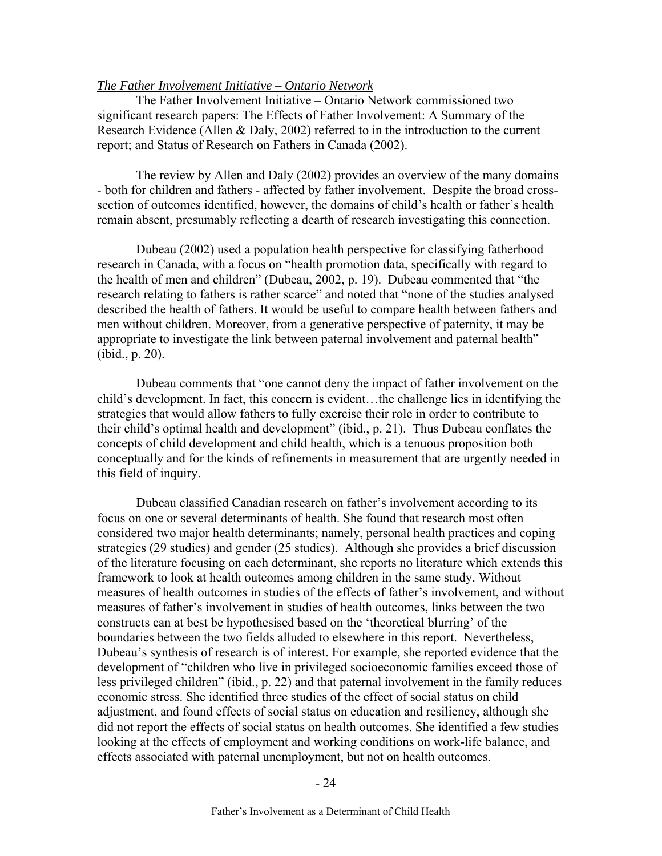### *The Father Involvement Initiative – Ontario Network*

The Father Involvement Initiative – Ontario Network commissioned two significant research papers: The Effects of Father Involvement: A Summary of the Research Evidence (Allen & Daly, 2002) referred to in the introduction to the current report; and Status of Research on Fathers in Canada (2002).

The review by Allen and Daly (2002) provides an overview of the many domains - both for children and fathers - affected by father involvement. Despite the broad crosssection of outcomes identified, however, the domains of child's health or father's health remain absent, presumably reflecting a dearth of research investigating this connection.

Dubeau (2002) used a population health perspective for classifying fatherhood research in Canada, with a focus on "health promotion data, specifically with regard to the health of men and children" (Dubeau, 2002, p. 19). Dubeau commented that "the research relating to fathers is rather scarce" and noted that "none of the studies analysed described the health of fathers. It would be useful to compare health between fathers and men without children. Moreover, from a generative perspective of paternity, it may be appropriate to investigate the link between paternal involvement and paternal health" (ibid., p. 20).

Dubeau comments that "one cannot deny the impact of father involvement on the child's development. In fact, this concern is evident…the challenge lies in identifying the strategies that would allow fathers to fully exercise their role in order to contribute to their child's optimal health and development" (ibid., p. 21). Thus Dubeau conflates the concepts of child development and child health, which is a tenuous proposition both conceptually and for the kinds of refinements in measurement that are urgently needed in this field of inquiry.

Dubeau classified Canadian research on father's involvement according to its focus on one or several determinants of health. She found that research most often considered two major health determinants; namely, personal health practices and coping strategies (29 studies) and gender (25 studies). Although she provides a brief discussion of the literature focusing on each determinant, she reports no literature which extends this framework to look at health outcomes among children in the same study. Without measures of health outcomes in studies of the effects of father's involvement, and without measures of father's involvement in studies of health outcomes, links between the two constructs can at best be hypothesised based on the 'theoretical blurring' of the boundaries between the two fields alluded to elsewhere in this report. Nevertheless, Dubeau's synthesis of research is of interest. For example, she reported evidence that the development of "children who live in privileged socioeconomic families exceed those of less privileged children" (ibid., p. 22) and that paternal involvement in the family reduces economic stress. She identified three studies of the effect of social status on child adjustment, and found effects of social status on education and resiliency, although she did not report the effects of social status on health outcomes. She identified a few studies looking at the effects of employment and working conditions on work-life balance, and effects associated with paternal unemployment, but not on health outcomes.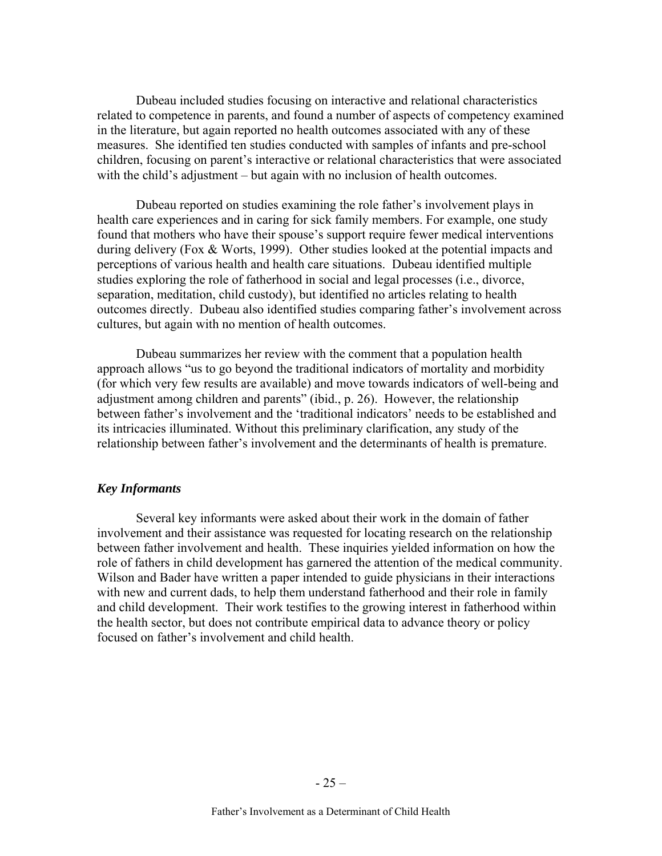Dubeau included studies focusing on interactive and relational characteristics related to competence in parents, and found a number of aspects of competency examined in the literature, but again reported no health outcomes associated with any of these measures. She identified ten studies conducted with samples of infants and pre-school children, focusing on parent's interactive or relational characteristics that were associated with the child's adjustment – but again with no inclusion of health outcomes.

Dubeau reported on studies examining the role father's involvement plays in health care experiences and in caring for sick family members. For example, one study found that mothers who have their spouse's support require fewer medical interventions during delivery (Fox & Worts, 1999). Other studies looked at the potential impacts and perceptions of various health and health care situations. Dubeau identified multiple studies exploring the role of fatherhood in social and legal processes (i.e., divorce, separation, meditation, child custody), but identified no articles relating to health outcomes directly. Dubeau also identified studies comparing father's involvement across cultures, but again with no mention of health outcomes.

Dubeau summarizes her review with the comment that a population health approach allows "us to go beyond the traditional indicators of mortality and morbidity (for which very few results are available) and move towards indicators of well-being and adjustment among children and parents" (ibid., p. 26). However, the relationship between father's involvement and the 'traditional indicators' needs to be established and its intricacies illuminated. Without this preliminary clarification, any study of the relationship between father's involvement and the determinants of health is premature.

#### *Key Informants*

Several key informants were asked about their work in the domain of father involvement and their assistance was requested for locating research on the relationship between father involvement and health. These inquiries yielded information on how the role of fathers in child development has garnered the attention of the medical community. Wilson and Bader have written a paper intended to guide physicians in their interactions with new and current dads, to help them understand fatherhood and their role in family and child development. Their work testifies to the growing interest in fatherhood within the health sector, but does not contribute empirical data to advance theory or policy focused on father's involvement and child health.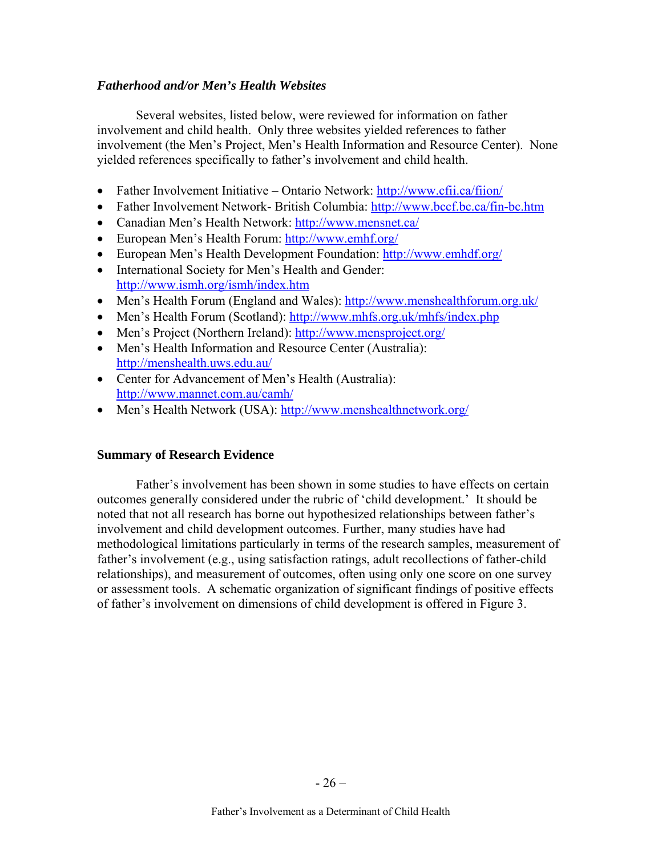### *Fatherhood and/or Men's Health Websites*

Several websites, listed below, were reviewed for information on father involvement and child health. Only three websites yielded references to father involvement (the Men's Project, Men's Health Information and Resource Center). None yielded references specifically to father's involvement and child health.

- Father Involvement Initiative Ontario Network:<http://www.cfii.ca/fiion/>
- Father Involvement Network- British Columbia:<http://www.bccf.bc.ca/fin-bc.htm>
- Canadian Men's Health Network:<http://www.mensnet.ca/>
- European Men's Health Forum: <http://www.emhf.org/>
- European Men's Health Development Foundation:<http://www.emhdf.org/>
- International Society for Men's Health and Gender: <http://www.ismh.org/ismh/index.htm>
- Men's Health Forum (England and Wales):<http://www.menshealthforum.org.uk/>
- Men's Health Forum (Scotland): <http://www.mhfs.org.uk/mhfs/index.php>
- Men's Project (Northern Ireland):<http://www.mensproject.org/>
- Men's Health Information and Resource Center (Australia): <http://menshealth.uws.edu.au/>
- Center for Advancement of Men's Health (Australia): <http://www.mannet.com.au/camh/>
- Men's Health Network (USA): <http://www.menshealthnetwork.org/>

### **Summary of Research Evidence**

Father's involvement has been shown in some studies to have effects on certain outcomes generally considered under the rubric of 'child development.' It should be noted that not all research has borne out hypothesized relationships between father's involvement and child development outcomes. Further, many studies have had methodological limitations particularly in terms of the research samples, measurement of father's involvement (e.g., using satisfaction ratings, adult recollections of father-child relationships), and measurement of outcomes, often using only one score on one survey or assessment tools. A schematic organization of significant findings of positive effects of father's involvement on dimensions of child development is offered in Figure 3.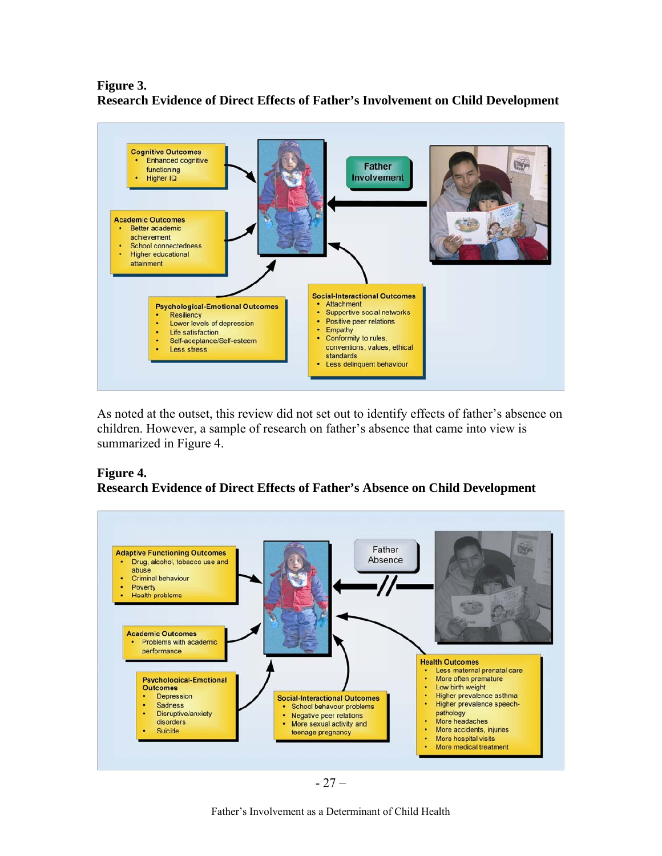### **Figure 3. Research Evidence of Direct Effects of Father's Involvement on Child Development**



As noted at the outset, this review did not set out to identify effects of father's absence on children. However, a sample of research on father's absence that came into view is summarized in Figure 4.

## **Figure 4. Research Evidence of Direct Effects of Father's Absence on Child Development**



Father's Involvement as a Determinant of Child Health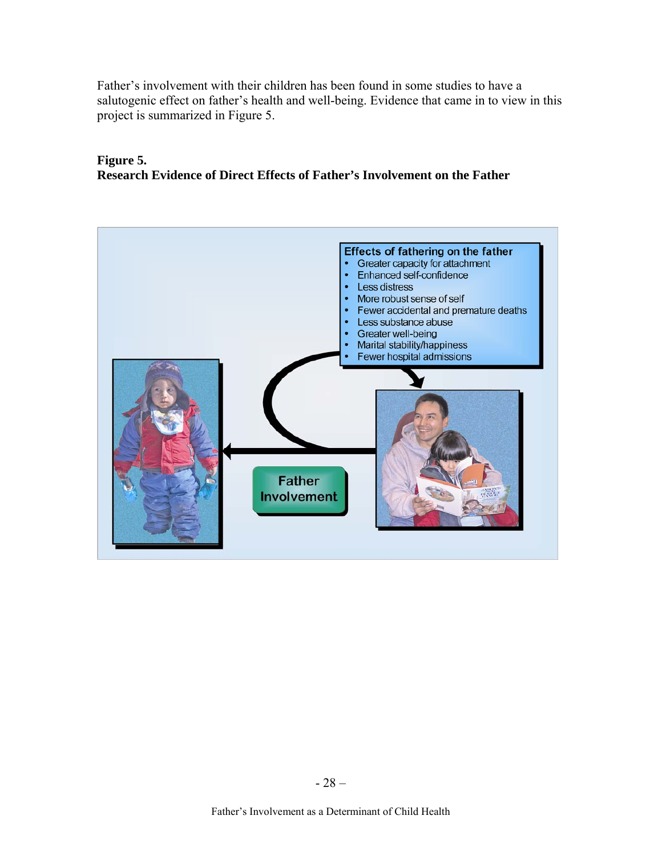Father's involvement with their children has been found in some studies to have a salutogenic effect on father's health and well-being. Evidence that came in to view in this project is summarized in Figure 5.

### **Figure 5. Research Evidence of Direct Effects of Father's Involvement on the Father**

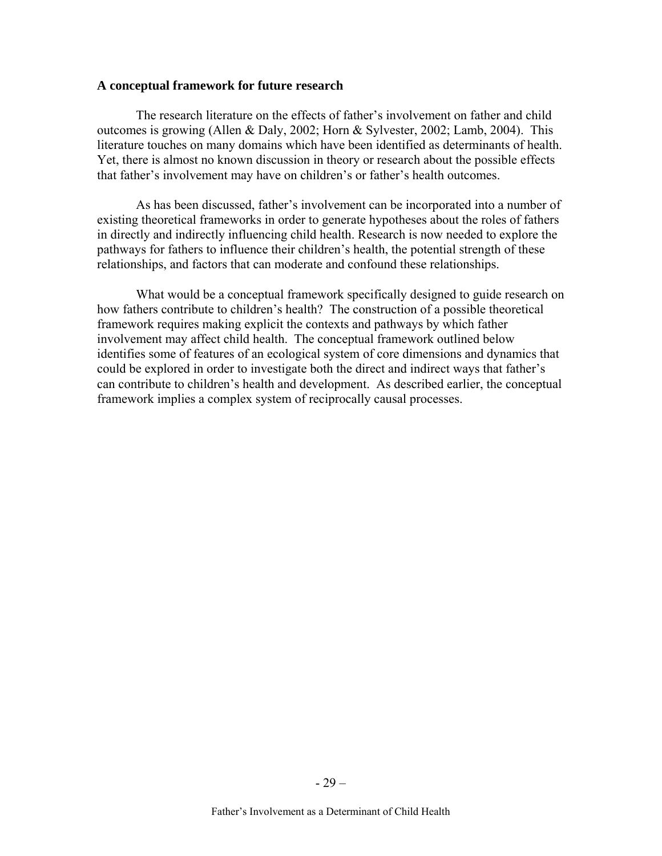#### **A conceptual framework for future research**

The research literature on the effects of father's involvement on father and child outcomes is growing (Allen & Daly, 2002; Horn & Sylvester, 2002; Lamb, 2004). This literature touches on many domains which have been identified as determinants of health. Yet, there is almost no known discussion in theory or research about the possible effects that father's involvement may have on children's or father's health outcomes.

As has been discussed, father's involvement can be incorporated into a number of existing theoretical frameworks in order to generate hypotheses about the roles of fathers in directly and indirectly influencing child health. Research is now needed to explore the pathways for fathers to influence their children's health, the potential strength of these relationships, and factors that can moderate and confound these relationships.

What would be a conceptual framework specifically designed to guide research on how fathers contribute to children's health? The construction of a possible theoretical framework requires making explicit the contexts and pathways by which father involvement may affect child health. The conceptual framework outlined below identifies some of features of an ecological system of core dimensions and dynamics that could be explored in order to investigate both the direct and indirect ways that father's can contribute to children's health and development. As described earlier, the conceptual framework implies a complex system of reciprocally causal processes.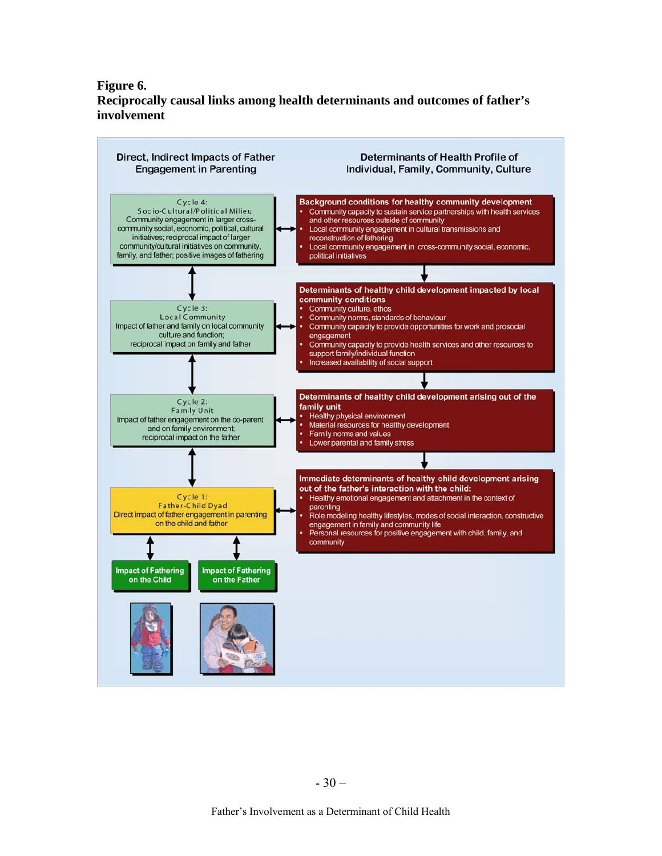### **Figure 6. Reciprocally causal links among health determinants and outcomes of father's involvement**

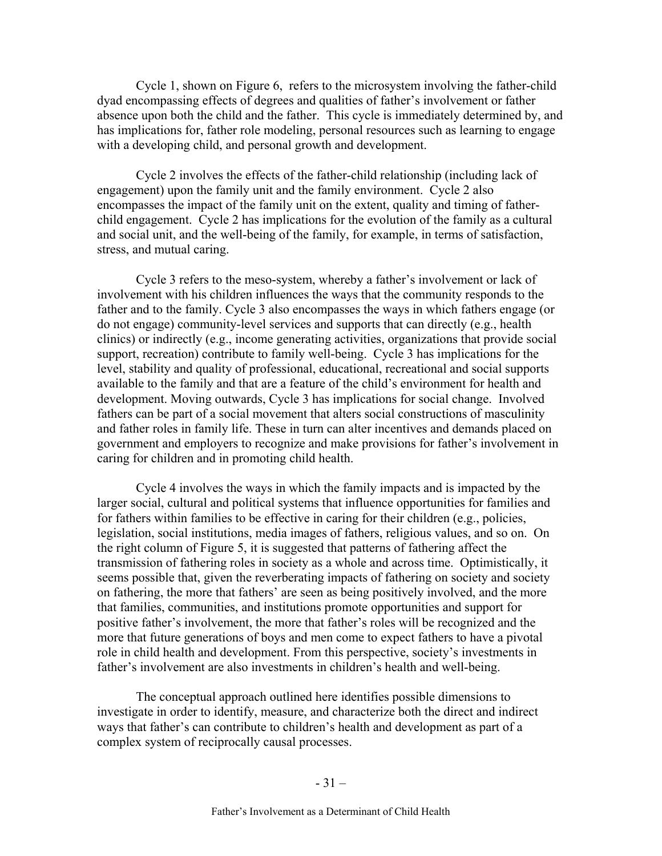Cycle 1, shown on Figure 6, refers to the microsystem involving the father-child dyad encompassing effects of degrees and qualities of father's involvement or father absence upon both the child and the father. This cycle is immediately determined by, and has implications for, father role modeling, personal resources such as learning to engage with a developing child, and personal growth and development.

Cycle 2 involves the effects of the father-child relationship (including lack of engagement) upon the family unit and the family environment. Cycle 2 also encompasses the impact of the family unit on the extent, quality and timing of fatherchild engagement. Cycle 2 has implications for the evolution of the family as a cultural and social unit, and the well-being of the family, for example, in terms of satisfaction, stress, and mutual caring.

Cycle 3 refers to the meso-system, whereby a father's involvement or lack of involvement with his children influences the ways that the community responds to the father and to the family. Cycle 3 also encompasses the ways in which fathers engage (or do not engage) community-level services and supports that can directly (e.g., health clinics) or indirectly (e.g., income generating activities, organizations that provide social support, recreation) contribute to family well-being. Cycle 3 has implications for the level, stability and quality of professional, educational, recreational and social supports available to the family and that are a feature of the child's environment for health and development. Moving outwards, Cycle 3 has implications for social change. Involved fathers can be part of a social movement that alters social constructions of masculinity and father roles in family life. These in turn can alter incentives and demands placed on government and employers to recognize and make provisions for father's involvement in caring for children and in promoting child health.

Cycle 4 involves the ways in which the family impacts and is impacted by the larger social, cultural and political systems that influence opportunities for families and for fathers within families to be effective in caring for their children (e.g., policies, legislation, social institutions, media images of fathers, religious values, and so on. On the right column of Figure 5, it is suggested that patterns of fathering affect the transmission of fathering roles in society as a whole and across time. Optimistically, it seems possible that, given the reverberating impacts of fathering on society and society on fathering, the more that fathers' are seen as being positively involved, and the more that families, communities, and institutions promote opportunities and support for positive father's involvement, the more that father's roles will be recognized and the more that future generations of boys and men come to expect fathers to have a pivotal role in child health and development. From this perspective, society's investments in father's involvement are also investments in children's health and well-being.

The conceptual approach outlined here identifies possible dimensions to investigate in order to identify, measure, and characterize both the direct and indirect ways that father's can contribute to children's health and development as part of a complex system of reciprocally causal processes.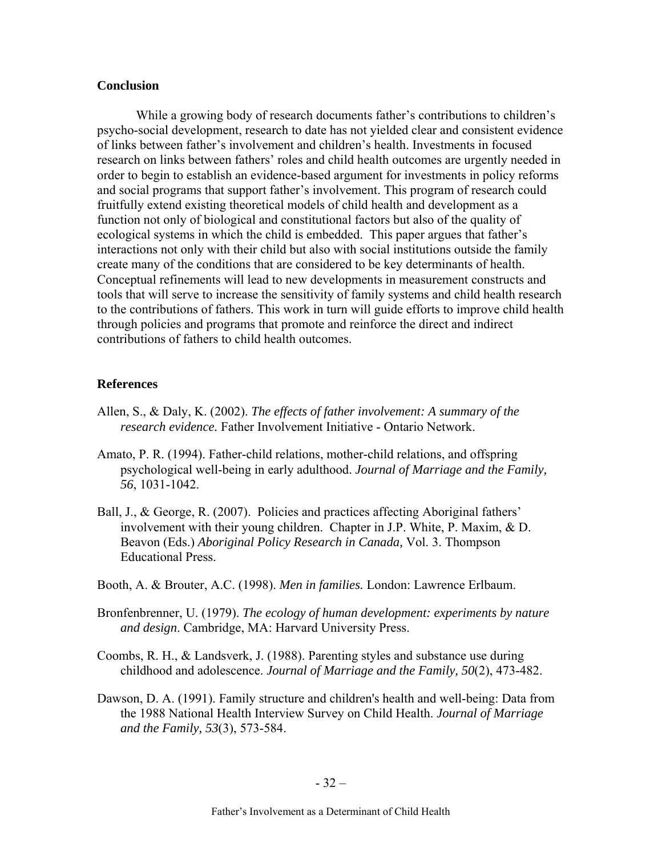### **Conclusion**

While a growing body of research documents father's contributions to children's psycho-social development, research to date has not yielded clear and consistent evidence of links between father's involvement and children's health. Investments in focused research on links between fathers' roles and child health outcomes are urgently needed in order to begin to establish an evidence-based argument for investments in policy reforms and social programs that support father's involvement. This program of research could fruitfully extend existing theoretical models of child health and development as a function not only of biological and constitutional factors but also of the quality of ecological systems in which the child is embedded. This paper argues that father's interactions not only with their child but also with social institutions outside the family create many of the conditions that are considered to be key determinants of health. Conceptual refinements will lead to new developments in measurement constructs and tools that will serve to increase the sensitivity of family systems and child health research to the contributions of fathers. This work in turn will guide efforts to improve child health through policies and programs that promote and reinforce the direct and indirect contributions of fathers to child health outcomes.

### **References**

- Allen, S., & Daly, K. (2002). *The effects of father involvement: A summary of the research evidence.* Father Involvement Initiative - Ontario Network.
- Amato, P. R. (1994). Father-child relations, mother-child relations, and offspring psychological well-being in early adulthood. *Journal of Marriage and the Family, 56*, 1031-1042.
- Ball, J., & George, R. (2007). Policies and practices affecting Aboriginal fathers' involvement with their young children. Chapter in J.P. White, P. Maxim, & D. Beavon (Eds.) *Aboriginal Policy Research in Canada,* Vol. 3. Thompson Educational Press.
- Booth, A. & Brouter, A.C. (1998). *Men in families.* London: Lawrence Erlbaum.
- Bronfenbrenner, U. (1979). *The ecology of human development: experiments by nature and design*. Cambridge, MA: Harvard University Press.
- Coombs, R. H., & Landsverk, J. (1988). Parenting styles and substance use during childhood and adolescence. *Journal of Marriage and the Family, 50*(2), 473-482.
- Dawson, D. A. (1991). Family structure and children's health and well-being: Data from the 1988 National Health Interview Survey on Child Health. *Journal of Marriage and the Family, 53*(3), 573-584.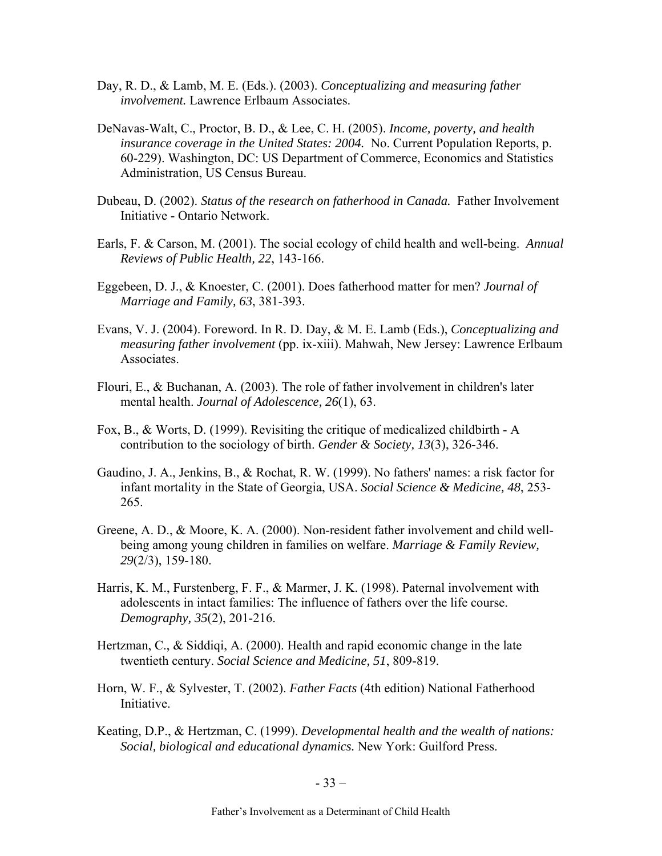- Day, R. D., & Lamb, M. E. (Eds.). (2003). *Conceptualizing and measuring father involvement.* Lawrence Erlbaum Associates.
- DeNavas-Walt, C., Proctor, B. D., & Lee, C. H. (2005). *Income, poverty, and health insurance coverage in the United States: 2004.* No. Current Population Reports, p. 60-229). Washington, DC: US Department of Commerce, Economics and Statistics Administration, US Census Bureau.
- Dubeau, D. (2002). *Status of the research on fatherhood in Canada.* Father Involvement Initiative - Ontario Network.
- Earls, F. & Carson, M. (2001). The social ecology of child health and well-being. *Annual Reviews of Public Health, 22*, 143-166.
- Eggebeen, D. J., & Knoester, C. (2001). Does fatherhood matter for men? *Journal of Marriage and Family, 63*, 381-393.
- Evans, V. J. (2004). Foreword. In R. D. Day, & M. E. Lamb (Eds.), *Conceptualizing and measuring father involvement* (pp. ix-xiii). Mahwah, New Jersey: Lawrence Erlbaum Associates.
- Flouri, E., & Buchanan, A. (2003). The role of father involvement in children's later mental health. *Journal of Adolescence, 26*(1), 63.
- Fox, B., & Worts, D. (1999). Revisiting the critique of medicalized childbirth A contribution to the sociology of birth. *Gender & Society, 13*(3), 326-346.
- Gaudino, J. A., Jenkins, B., & Rochat, R. W. (1999). No fathers' names: a risk factor for infant mortality in the State of Georgia, USA. *Social Science & Medicine, 48*, 253- 265.
- Greene, A. D., & Moore, K. A. (2000). Non-resident father involvement and child wellbeing among young children in families on welfare. *Marriage & Family Review, 29*(2/3), 159-180.
- Harris, K. M., Furstenberg, F. F., & Marmer, J. K. (1998). Paternal involvement with adolescents in intact families: The influence of fathers over the life course. *Demography, 35*(2), 201-216.
- Hertzman, C., & Siddiqi, A. (2000). Health and rapid economic change in the late twentieth century. *Social Science and Medicine, 51*, 809-819.
- Horn, W. F., & Sylvester, T. (2002). *Father Facts* (4th edition) National Fatherhood Initiative.
- Keating, D.P., & Hertzman, C. (1999). *Developmental health and the wealth of nations: Social, biological and educational dynamics.* New York: Guilford Press.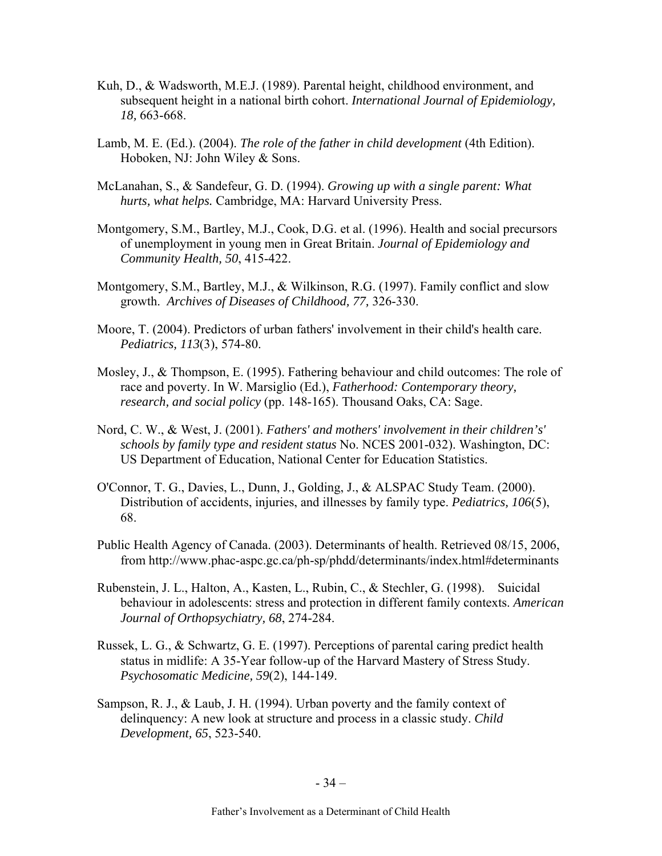- Kuh, D., & Wadsworth, M.E.J. (1989). Parental height, childhood environment, and subsequent height in a national birth cohort. *International Journal of Epidemiology, 18,* 663-668.
- Lamb, M. E. (Ed.). (2004). *The role of the father in child development* (4th Edition). Hoboken, NJ: John Wiley & Sons.
- McLanahan, S., & Sandefeur, G. D. (1994). *Growing up with a single parent: What hurts, what helps.* Cambridge, MA: Harvard University Press.
- Montgomery, S.M., Bartley, M.J., Cook, D.G. et al. (1996). Health and social precursors of unemployment in young men in Great Britain. *Journal of Epidemiology and Community Health, 50*, 415-422.
- Montgomery, S.M., Bartley, M.J., & Wilkinson, R.G. (1997). Family conflict and slow growth. *Archives of Diseases of Childhood, 77,* 326-330.
- Moore, T. (2004). Predictors of urban fathers' involvement in their child's health care. *Pediatrics, 113*(3), 574-80.
- Mosley, J., & Thompson, E. (1995). Fathering behaviour and child outcomes: The role of race and poverty. In W. Marsiglio (Ed.), *Fatherhood: Contemporary theory, research, and social policy* (pp. 148-165). Thousand Oaks, CA: Sage.
- Nord, C. W., & West, J. (2001). *Fathers' and mothers' involvement in their children's' schools by family type and resident status* No. NCES 2001-032). Washington, DC: US Department of Education, National Center for Education Statistics.
- O'Connor, T. G., Davies, L., Dunn, J., Golding, J., & ALSPAC Study Team. (2000). Distribution of accidents, injuries, and illnesses by family type. *Pediatrics, 106*(5), 68.
- Public Health Agency of Canada. (2003). Determinants of health. Retrieved 08/15, 2006, from http://www.phac-aspc.gc.ca/ph-sp/phdd/determinants/index.html#determinants
- Rubenstein, J. L., Halton, A., Kasten, L., Rubin, C., & Stechler, G. (1998). Suicidal behaviour in adolescents: stress and protection in different family contexts. *American Journal of Orthopsychiatry, 68*, 274-284.
- Russek, L. G., & Schwartz, G. E. (1997). Perceptions of parental caring predict health status in midlife: A 35-Year follow-up of the Harvard Mastery of Stress Study. *Psychosomatic Medicine, 59*(2), 144-149.
- Sampson, R. J., & Laub, J. H. (1994). Urban poverty and the family context of delinquency: A new look at structure and process in a classic study. *Child Development, 65*, 523-540.